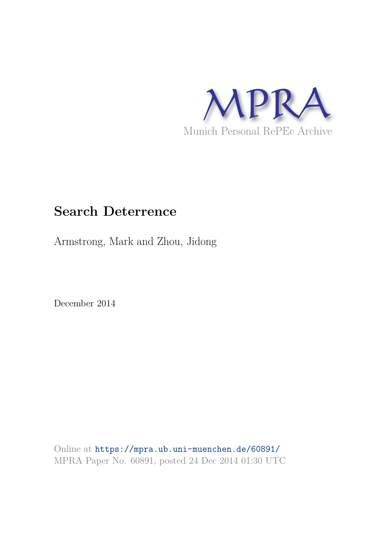

# **Search Deterrence**

Armstrong, Mark and Zhou, Jidong

December 2014

Online at https://mpra.ub.uni-muenchen.de/60891/ MPRA Paper No. 60891, posted 24 Dec 2014 01:30 UTC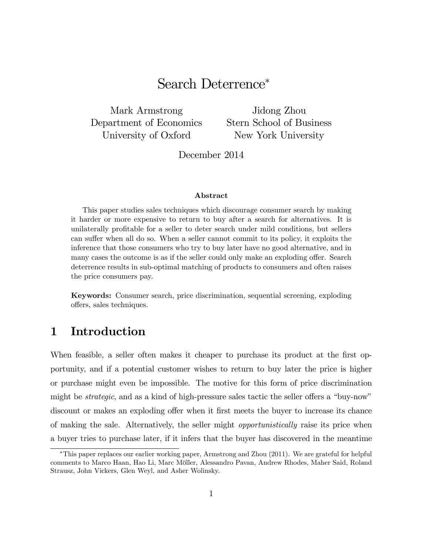# Search Deterrence

Mark Armstrong Department of Economics University of Oxford

Jidong Zhou Stern School of Business New York University

December 2014

#### Abstract

This paper studies sales techniques which discourage consumer search by making it harder or more expensive to return to buy after a search for alternatives. It is unilaterally proÖtable for a seller to deter search under mild conditions, but sellers can suffer when all do so. When a seller cannot commit to its policy, it exploits the inference that those consumers who try to buy later have no good alternative, and in many cases the outcome is as if the seller could only make an exploding offer. Search deterrence results in sub-optimal matching of products to consumers and often raises the price consumers pay.

Keywords: Consumer search, price discrimination, sequential screening, exploding offers, sales techniques.

# 1 Introduction

When feasible, a seller often makes it cheaper to purchase its product at the first opportunity, and if a potential customer wishes to return to buy later the price is higher or purchase might even be impossible. The motive for this form of price discrimination might be *strategic*, and as a kind of high-pressure sales tactic the seller offers a "buy-now" discount or makes an exploding offer when it first meets the buyer to increase its chance of making the sale. Alternatively, the seller might opportunistically raise its price when a buyer tries to purchase later, if it infers that the buyer has discovered in the meantime

This paper replaces our earlier working paper, Armstrong and Zhou (2011). We are grateful for helpful comments to Marco Haan, Hao Li, Marc Mˆller, Alessandro Pavan, Andrew Rhodes, Maher Said, Roland Strausz, John Vickers, Glen Weyl, and Asher Wolinsky.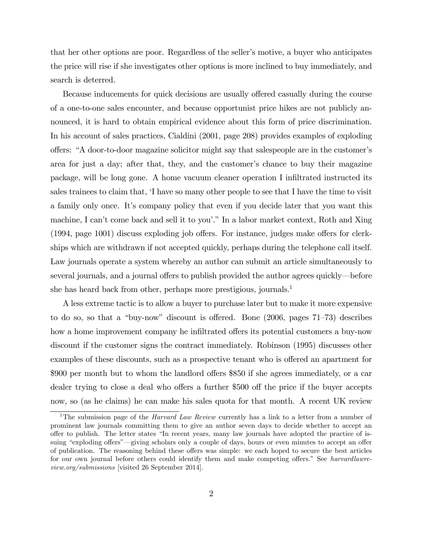that her other options are poor. Regardless of the seller's motive, a buyer who anticipates the price will rise if she investigates other options is more inclined to buy immediately, and search is deterred.

Because inducements for quick decisions are usually offered casually during the course of a one-to-one sales encounter, and because opportunist price hikes are not publicly announced, it is hard to obtain empirical evidence about this form of price discrimination. In his account of sales practices, Cialdini (2001, page 208) provides examples of exploding offers: "A door-to-door magazine solicitor might say that salespeople are in the customer's area for just a day; after that, they, and the customer's chance to buy their magazine package, will be long gone. A home vacuum cleaner operation I inÖltrated instructed its sales trainees to claim that, 'I have so many other people to see that I have the time to visit a family only once. Itís company policy that even if you decide later that you want this machine, I can't come back and sell it to you'." In a labor market context, Roth and Xing  $(1994, \text{page } 1001)$  discuss exploding job offers. For instance, judges make offers for clerkships which are withdrawn if not accepted quickly, perhaps during the telephone call itself. Law journals operate a system whereby an author can submit an article simultaneously to several journals, and a journal offers to publish provided the author agrees quickly—before she has heard back from other, perhaps more prestigious, journals.<sup>1</sup>

A less extreme tactic is to allow a buyer to purchase later but to make it more expensive to do so, so that a "buy-now" discount is offered. Bone  $(2006, \text{ pages } 71-73)$  describes how a home improvement company he infiltrated offers its potential customers a buy-now discount if the customer signs the contract immediately. Robinson (1995) discusses other examples of these discounts, such as a prospective tenant who is offered an apartment for  $$900$  per month but to whom the landlord offers  $$850$  if she agrees immediately, or a car dealer trying to close a deal who offers a further \$500 off the price if the buyer accepts now, so (as he claims) he can make his sales quota for that month. A recent UK review

<sup>&</sup>lt;sup>1</sup>The submission page of the *Harvard Law Review* currently has a link to a letter from a number of prominent law journals committing them to give an author seven days to decide whether to accept an offer to publish. The letter states "In recent years, many law journals have adopted the practice of issuing "exploding offers"—giving scholars only a couple of days, hours or even minutes to accept an offer of publication. The reasoning behind these offers was simple: we each hoped to secure the best articles for our own journal before others could identify them and make competing offers." See harvardlawreview.org/submissions [visited 26 September 2014].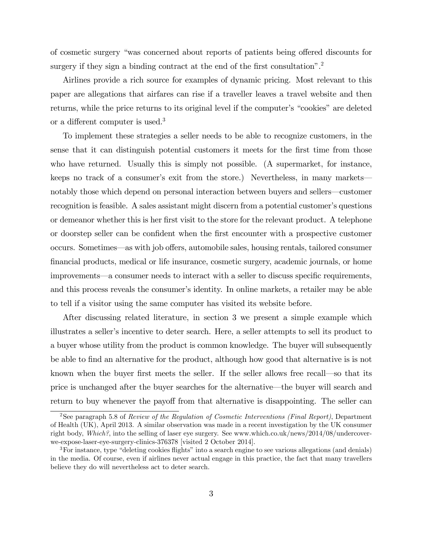of cosmetic surgery "was concerned about reports of patients being offered discounts for surgery if they sign a binding contract at the end of the first consultation".<sup>2</sup>

Airlines provide a rich source for examples of dynamic pricing. Most relevant to this paper are allegations that airfares can rise if a traveller leaves a travel website and then returns, while the price returns to its original level if the computer's "cookies" are deleted or a different computer is used.<sup>3</sup>

To implement these strategies a seller needs to be able to recognize customers, in the sense that it can distinguish potential customers it meets for the first time from those who have returned. Usually this is simply not possible. (A supermarket, for instance, keeps no track of a consumer's exit from the store.) Nevertheless, in many markets notably those which depend on personal interaction between buyers and sellers—customer recognition is feasible. A sales assistant might discern from a potential customer's questions or demeanor whether this is her first visit to the store for the relevant product. A telephone or doorstep seller can be confident when the first encounter with a prospective customer occurs. Sometimes—as with job offers, automobile sales, housing rentals, tailored consumer Önancial products, medical or life insurance, cosmetic surgery, academic journals, or home improvements—a consumer needs to interact with a seller to discuss specific requirements, and this process reveals the consumer's identity. In online markets, a retailer may be able to tell if a visitor using the same computer has visited its website before.

After discussing related literature, in section 3 we present a simple example which illustrates a seller's incentive to deter search. Here, a seller attempts to sell its product to a buyer whose utility from the product is common knowledge. The buyer will subsequently be able to Önd an alternative for the product, although how good that alternative is is not known when the buyer first meets the seller. If the seller allows free recall—so that its price is unchanged after the buyer searches for the alternative—the buyer will search and return to buy whenever the payoff from that alternative is disappointing. The seller can

<sup>2</sup>See paragraph 5.8 of Review of the Regulation of Cosmetic Interventions (Final Report), Department of Health (UK), April 2013. A similar observation was made in a recent investigation by the UK consumer right body, Which?, into the selling of laser eye surgery. See www.which.co.uk/news/2014/08/undercoverwe-expose-laser-eye-surgery-clinics-376378 [visited 2 October 2014].

 $3$ For instance, type "deleting cookies flights" into a search engine to see various allegations (and denials) in the media. Of course, even if airlines never actual engage in this practice, the fact that many travellers believe they do will nevertheless act to deter search.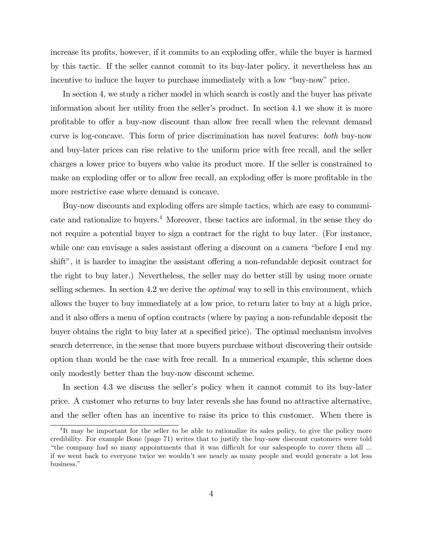increase its profits, however, if it commits to an exploding offer, while the buyer is harmed by this tactic. If the seller cannot commit to its buy-later policy, it nevertheless has an incentive to induce the buyer to purchase immediately with a low "buy-now" price.

In section 4, we study a richer model in which search is costly and the buyer has private information about her utility from the seller's product. In section 4.1 we show it is more profitable to offer a buy-now discount than allow free recall when the relevant demand curve is log-concave. This form of price discrimination has novel features: both buy-now and buy-later prices can rise relative to the uniform price with free recall, and the seller charges a lower price to buyers who value its product more. If the seller is constrained to make an exploding offer or to allow free recall, an exploding offer is more profitable in the more restrictive case where demand is concave.

Buy-now discounts and exploding offers are simple tactics, which are easy to communicate and rationalize to buyers.<sup>4</sup> Moreover, these tactics are informal, in the sense they do not require a potential buyer to sign a contract for the right to buy later. (For instance, while one can envisage a sales assistant offering a discount on a camera "before I end my shift", it is harder to imagine the assistant offering a non-refundable deposit contract for the right to buy later.) Nevertheless, the seller may do better still by using more ornate selling schemes. In section 4.2 we derive the *optimal* way to sell in this environment, which allows the buyer to buy immediately at a low price, to return later to buy at a high price, and it also offers a menu of option contracts (where by paying a non-refundable deposit the buyer obtains the right to buy later at a specified price). The optimal mechanism involves search deterrence, in the sense that more buyers purchase without discovering their outside option than would be the case with free recall. In a numerical example, this scheme does only modestly better than the buy-now discount scheme.

In section 4.3 we discuss the seller's policy when it cannot commit to its buy-later price. A customer who returns to buy later reveals she has found no attractive alternative, and the seller often has an incentive to raise its price to this customer. When there is

<sup>&</sup>lt;sup>4</sup>It may be important for the seller to be able to rationalize its sales policy, to give the policy more credibility. For example Bone (page 71) writes that to justify the buy-now discount customers were told "the company had so many appointments that it was difficult for our salespeople to cover them all ... if we went back to everyone twice we wouldnít see nearly as many people and would generate a lot less business."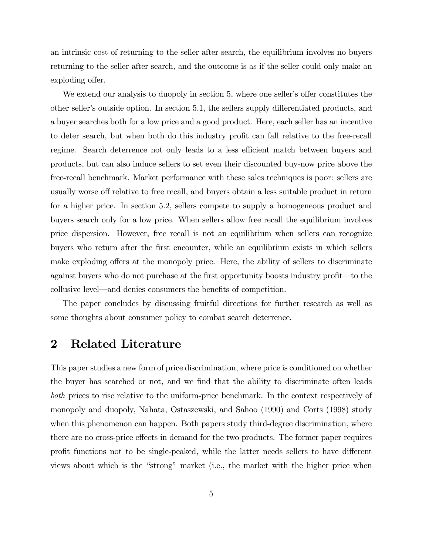an intrinsic cost of returning to the seller after search, the equilibrium involves no buyers returning to the seller after search, and the outcome is as if the seller could only make an exploding offer.

We extend our analysis to duopoly in section 5, where one seller's offer constitutes the other seller's outside option. In section 5.1, the sellers supply differentiated products, and a buyer searches both for a low price and a good product. Here, each seller has an incentive to deter search, but when both do this industry profit can fall relative to the free-recall regime. Search deterrence not only leads to a less efficient match between buyers and products, but can also induce sellers to set even their discounted buy-now price above the free-recall benchmark. Market performance with these sales techniques is poor: sellers are usually worse off relative to free recall, and buyers obtain a less suitable product in return for a higher price. In section 5.2, sellers compete to supply a homogeneous product and buyers search only for a low price. When sellers allow free recall the equilibrium involves price dispersion. However, free recall is not an equilibrium when sellers can recognize buyers who return after the Örst encounter, while an equilibrium exists in which sellers make exploding offers at the monopoly price. Here, the ability of sellers to discriminate against buyers who do not purchase at the first opportunity boosts industry profit—to the collusive level—and denies consumers the benefits of competition.

The paper concludes by discussing fruitful directions for further research as well as some thoughts about consumer policy to combat search deterrence.

# 2 Related Literature

This paper studies a new form of price discrimination, where price is conditioned on whether the buyer has searched or not, and we find that the ability to discriminate often leads both prices to rise relative to the uniform-price benchmark. In the context respectively of monopoly and duopoly, Nahata, Ostaszewski, and Sahoo (1990) and Corts (1998) study when this phenomenon can happen. Both papers study third-degree discrimination, where there are no cross-price effects in demand for the two products. The former paper requires profit functions not to be single-peaked, while the latter needs sellers to have different views about which is the "strong" market (i.e., the market with the higher price when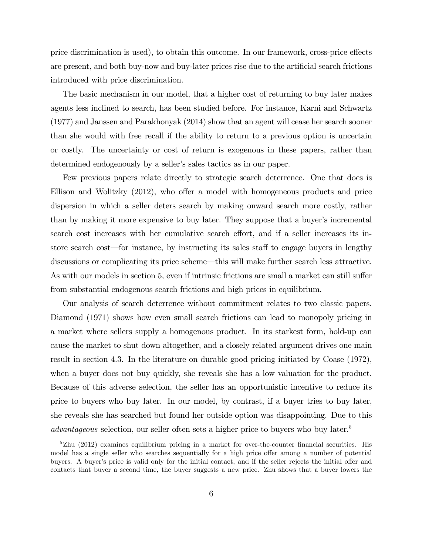price discrimination is used), to obtain this outcome. In our framework, cross-price effects are present, and both buy-now and buy-later prices rise due to the artificial search frictions introduced with price discrimination.

The basic mechanism in our model, that a higher cost of returning to buy later makes agents less inclined to search, has been studied before. For instance, Karni and Schwartz (1977) and Janssen and Parakhonyak (2014) show that an agent will cease her search sooner than she would with free recall if the ability to return to a previous option is uncertain or costly. The uncertainty or cost of return is exogenous in these papers, rather than determined endogenously by a seller's sales tactics as in our paper.

Few previous papers relate directly to strategic search deterrence. One that does is Ellison and Wolitzky  $(2012)$ , who offer a model with homogeneous products and price dispersion in which a seller deters search by making onward search more costly, rather than by making it more expensive to buy later. They suppose that a buyer's incremental search cost increases with her cumulative search effort, and if a seller increases its instore search cost—for instance, by instructing its sales staff to engage buyers in lengthy discussions or complicating its price scheme—this will make further search less attractive. As with our models in section 5, even if intrinsic frictions are small a market can still suffer from substantial endogenous search frictions and high prices in equilibrium.

Our analysis of search deterrence without commitment relates to two classic papers. Diamond (1971) shows how even small search frictions can lead to monopoly pricing in a market where sellers supply a homogenous product. In its starkest form, hold-up can cause the market to shut down altogether, and a closely related argument drives one main result in section 4.3. In the literature on durable good pricing initiated by Coase (1972), when a buyer does not buy quickly, she reveals she has a low valuation for the product. Because of this adverse selection, the seller has an opportunistic incentive to reduce its price to buyers who buy later. In our model, by contrast, if a buyer tries to buy later, she reveals she has searched but found her outside option was disappointing. Due to this advantageous selection, our seller often sets a higher price to buyers who buy later.<sup>5</sup>

 $5Zhu$  (2012) examines equilibrium pricing in a market for over-the-counter financial securities. His model has a single seller who searches sequentially for a high price offer among a number of potential buyers. A buyer's price is valid only for the initial contact, and if the seller rejects the initial offer and contacts that buyer a second time, the buyer suggests a new price. Zhu shows that a buyer lowers the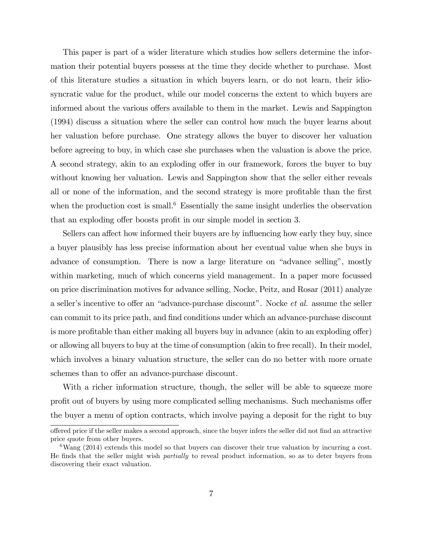This paper is part of a wider literature which studies how sellers determine the information their potential buyers possess at the time they decide whether to purchase. Most of this literature studies a situation in which buyers learn, or do not learn, their idiosyncratic value for the product, while our model concerns the extent to which buyers are informed about the various offers available to them in the market. Lewis and Sappington (1994) discuss a situation where the seller can control how much the buyer learns about her valuation before purchase. One strategy allows the buyer to discover her valuation before agreeing to buy, in which case she purchases when the valuation is above the price. A second strategy, akin to an exploding offer in our framework, forces the buyer to buy without knowing her valuation. Lewis and Sappington show that the seller either reveals all or none of the information, and the second strategy is more profitable than the first when the production cost is small.<sup>6</sup> Essentially the same insight underlies the observation that an exploding offer boosts profit in our simple model in section 3.

Sellers can affect how informed their buyers are by influencing how early they buy, since a buyer plausibly has less precise information about her eventual value when she buys in advance of consumption. There is now a large literature on "advance selling", mostly within marketing, much of which concerns yield management. In a paper more focussed on price discrimination motives for advance selling, Nocke, Peitz, and Rosar (2011) analyze a seller's incentive to offer an "advance-purchase discount". Nocke *et al.* assume the seller can commit to its price path, and find conditions under which an advance-purchase discount is more profitable than either making all buyers buy in advance (akin to an exploding offer) or allowing all buyers to buy at the time of consumption (akin to free recall). In their model, which involves a binary valuation structure, the seller can do no better with more ornate schemes than to offer an advance-purchase discount.

With a richer information structure, though, the seller will be able to squeeze more profit out of buyers by using more complicated selling mechanisms. Such mechanisms offer the buyer a menu of option contracts, which involve paying a deposit for the right to buy

offered price if the seller makes a second approach, since the buyer infers the seller did not find an attractive price quote from other buyers.

<sup>6</sup>Wang (2014) extends this model so that buyers can discover their true valuation by incurring a cost. He finds that the seller might wish *partially* to reveal product information, so as to deter buyers from discovering their exact valuation.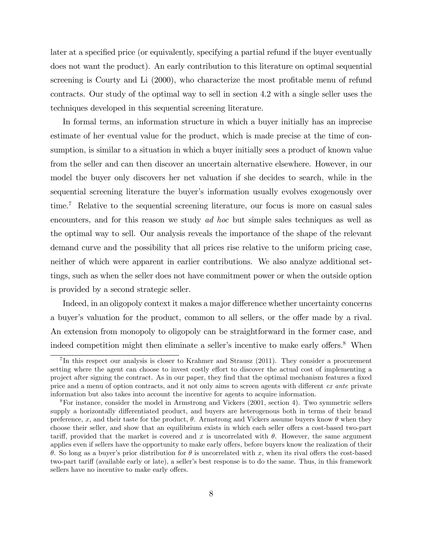later at a specified price (or equivalently, specifying a partial refund if the buyer eventually does not want the product). An early contribution to this literature on optimal sequential screening is Courty and Li (2000), who characterize the most profitable menu of refund contracts. Our study of the optimal way to sell in section 4.2 with a single seller uses the techniques developed in this sequential screening literature.

In formal terms, an information structure in which a buyer initially has an imprecise estimate of her eventual value for the product, which is made precise at the time of consumption, is similar to a situation in which a buyer initially sees a product of known value from the seller and can then discover an uncertain alternative elsewhere. However, in our model the buyer only discovers her net valuation if she decides to search, while in the sequential screening literature the buyer's information usually evolves exogenously over time.<sup>7</sup> Relative to the sequential screening literature, our focus is more on casual sales encounters, and for this reason we study ad hoc but simple sales techniques as well as the optimal way to sell. Our analysis reveals the importance of the shape of the relevant demand curve and the possibility that all prices rise relative to the uniform pricing case, neither of which were apparent in earlier contributions. We also analyze additional settings, such as when the seller does not have commitment power or when the outside option is provided by a second strategic seller.

Indeed, in an oligopoly context it makes a major difference whether uncertainty concerns a buyer's valuation for the product, common to all sellers, or the offer made by a rival. An extension from monopoly to oligopoly can be straightforward in the former case, and indeed competition might then eliminate a seller's incentive to make early offers.<sup>8</sup> When

<sup>&</sup>lt;sup>7</sup>In this respect our analysis is closer to Krahmer and Strausz (2011). They consider a procurement setting where the agent can choose to invest costly effort to discover the actual cost of implementing a project after signing the contract. As in our paper, they find that the optimal mechanism features a fixed price and a menu of option contracts, and it not only aims to screen agents with different ex ante private information but also takes into account the incentive for agents to acquire information.

<sup>8</sup>For instance, consider the model in Armstrong and Vickers (2001, section 4). Two symmetric sellers supply a horizontally differentiated product, and buyers are heterogenous both in terms of their brand preference, x, and their taste for the product,  $\theta$ . Armstrong and Vickers assume buyers know  $\theta$  when they choose their seller, and show that an equilibrium exists in which each seller offers a cost-based two-part tariff, provided that the market is covered and x is uncorrelated with  $\theta$ . However, the same argument applies even if sellers have the opportunity to make early offers, before buyers know the realization of their  $\theta$ . So long as a buyer's prior distribution for  $\theta$  is uncorrelated with x, when its rival offers the cost-based two-part tariff (available early or late), a seller's best response is to do the same. Thus, in this framework sellers have no incentive to make early offers.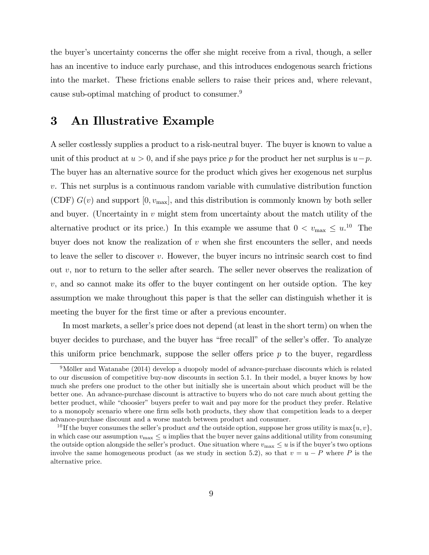the buyer's uncertainty concerns the offer she might receive from a rival, though, a seller has an incentive to induce early purchase, and this introduces endogenous search frictions into the market. These frictions enable sellers to raise their prices and, where relevant, cause sub-optimal matching of product to consumer.<sup>9</sup>

# 3 An Illustrative Example

A seller costlessly supplies a product to a risk-neutral buyer. The buyer is known to value a unit of this product at  $u > 0$ , and if she pays price p for the product her net surplus is  $u-p$ . The buyer has an alternative source for the product which gives her exogenous net surplus v. This net surplus is a continuous random variable with cumulative distribution function (CDF)  $G(v)$  and support  $[0, v_{\text{max}}]$ , and this distribution is commonly known by both seller and buyer. (Uncertainty in  $v$  might stem from uncertainty about the match utility of the alternative product or its price.) In this example we assume that  $0 < v_{\text{max}} \leq u^{10}$  The buyer does not know the realization of  $v$  when she first encounters the seller, and needs to leave the seller to discover  $v$ . However, the buyer incurs no intrinsic search cost to find out  $v$ , nor to return to the seller after search. The seller never observes the realization of  $v$ , and so cannot make its offer to the buyer contingent on her outside option. The key assumption we make throughout this paper is that the seller can distinguish whether it is meeting the buyer for the first time or after a previous encounter.

In most markets, a seller's price does not depend (at least in the short term) on when the buyer decides to purchase, and the buyer has "free recall" of the seller's offer. To analyze this uniform price benchmark, suppose the seller offers price  $p$  to the buyer, regardless

 $9$ Möller and Watanabe (2014) develop a duopoly model of advance-purchase discounts which is related to our discussion of competitive buy-now discounts in section 5.1. In their model, a buyer knows by how much she prefers one product to the other but initially she is uncertain about which product will be the better one. An advance-purchase discount is attractive to buyers who do not care much about getting the better product, while "choosier" buyers prefer to wait and pay more for the product they prefer. Relative to a monopoly scenario where one firm sells both products, they show that competition leads to a deeper advance-purchase discount and a worse match between product and consumer.

<sup>&</sup>lt;sup>10</sup> If the buyer consumes the seller's product and the outside option, suppose her gross utility is max $\{u, v\}$ , in which case our assumption  $v_{\text{max}} \leq u$  implies that the buyer never gains additional utility from consuming the outside option alongside the seller's product. One situation where  $v_{\text{max}} \leq u$  is if the buyer's two options involve the same homogeneous product (as we study in section 5.2), so that  $v = u - P$  where P is the alternative price.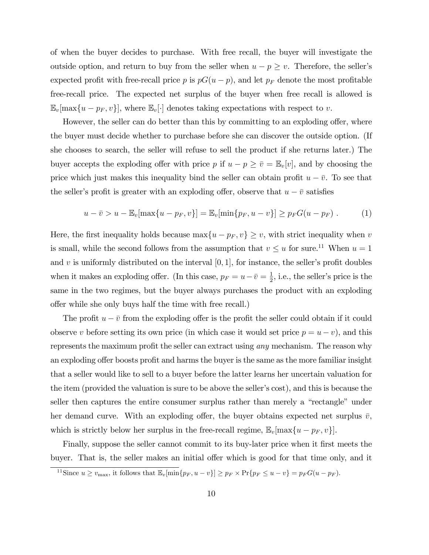of when the buyer decides to purchase. With free recall, the buyer will investigate the outside option, and return to buy from the seller when  $u - p \geq v$ . Therefore, the seller's expected profit with free-recall price p is  $pG(u - p)$ , and let  $p_F$  denote the most profitable free-recall price. The expected net surplus of the buyer when free recall is allowed is  $\mathbb{E}_{v}[\max\{u-p_F, v\}],$  where  $\mathbb{E}_{v}[\cdot]$  denotes taking expectations with respect to v.

However, the seller can do better than this by committing to an exploding offer, where the buyer must decide whether to purchase before she can discover the outside option. (If she chooses to search, the seller will refuse to sell the product if she returns later.) The buyer accepts the exploding offer with price p if  $u - p \geq \overline{v} = \mathbb{E}_{v}[v]$ , and by choosing the price which just makes this inequality bind the seller can obtain profit  $u - \bar{v}$ . To see that the seller's profit is greater with an exploding offer, observe that  $u - \overline{v}$  satisfies

$$
u - \bar{v} > u - \mathbb{E}_v[\max\{u - p_F, v\}] = \mathbb{E}_v[\min\{p_F, u - v\}] \ge p_F G(u - p_F).
$$
 (1)

Here, the first inequality holds because  $\max\{u - p_F, v\} \geq v$ , with strict inequality when v is small, while the second follows from the assumption that  $v \le u$  for sure.<sup>11</sup> When  $u = 1$ and v is uniformly distributed on the interval  $[0, 1]$ , for instance, the seller's profit doubles when it makes an exploding offer. (In this case,  $p_F = u - \bar{v} = \frac{1}{2}$  $\frac{1}{2}$ , i.e., the seller's price is the same in the two regimes, but the buyer always purchases the product with an exploding offer while she only buys half the time with free recall.)

The profit  $u - \bar{v}$  from the exploding offer is the profit the seller could obtain if it could observe v before setting its own price (in which case it would set price  $p = u - v$ ), and this represents the maximum profit the seller can extract using *any* mechanism. The reason why an exploding offer boosts profit and harms the buyer is the same as the more familiar insight that a seller would like to sell to a buyer before the latter learns her uncertain valuation for the item (provided the valuation is sure to be above the seller's cost), and this is because the seller then captures the entire consumer surplus rather than merely a "rectangle" under her demand curve. With an exploding offer, the buyer obtains expected net surplus  $\bar{v}$ , which is strictly below her surplus in the free-recall regime,  $\mathbb{E}_{v}[\max\{u - p_{F}, v\}]$ .

Finally, suppose the seller cannot commit to its buy-later price when it first meets the buyer. That is, the seller makes an initial offer which is good for that time only, and it

<sup>&</sup>lt;sup>11</sup>Since  $u \geq v_{\text{max}}$ , it follows that  $\mathbb{E}_v[\min\{p_F, u-v\}] \geq p_F \times \Pr\{p_F \leq u-v\} = p_F G(u-p_F)$ .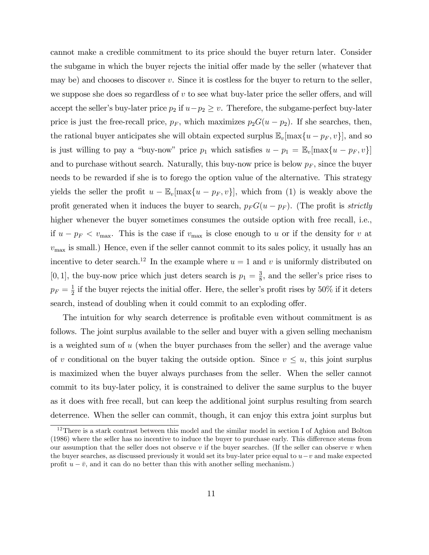cannot make a credible commitment to its price should the buyer return later. Consider the subgame in which the buyer rejects the initial offer made by the seller (whatever that may be) and chooses to discover  $v$ . Since it is costless for the buyer to return to the seller, we suppose she does so regardless of  $v$  to see what buy-later price the seller offers, and will accept the seller's buy-later price  $p_2$  if  $u-p_2 \geq v$ . Therefore, the subgame-perfect buy-later price is just the free-recall price,  $p_F$ , which maximizes  $p_2G(u - p_2)$ . If she searches, then, the rational buyer anticipates she will obtain expected surplus  $\mathbb{E}_v[\max\{u - p_F, v\}]$ , and so is just willing to pay a "buy-now" price  $p_1$  which satisfies  $u - p_1 = \mathbb{E}_v[\max\{u - p_F, v\}]$ and to purchase without search. Naturally, this buy-now price is below  $p_F$ , since the buyer needs to be rewarded if she is to forego the option value of the alternative. This strategy yields the seller the profit  $u - \mathbb{E}_v[\max\{u - p_F, v\}]$ , which from (1) is weakly above the profit generated when it induces the buyer to search,  $p_FG(u - p_F)$ . (The profit is *strictly* higher whenever the buyer sometimes consumes the outside option with free recall, i.e., if  $u - p_F < v_{\text{max}}$ . This is the case if  $v_{\text{max}}$  is close enough to u or if the density for v at  $v_{\text{max}}$  is small.) Hence, even if the seller cannot commit to its sales policy, it usually has an incentive to deter search.<sup>12</sup> In the example where  $u = 1$  and v is uniformly distributed on [0, 1], the buy-now price which just deters search is  $p_1 = \frac{3}{8}$  $\frac{3}{8}$ , and the seller's price rises to  $p_F = \frac{1}{2}$  $\frac{1}{2}$  if the buyer rejects the initial offer. Here, the seller's profit rises by 50% if it deters search, instead of doubling when it could commit to an exploding offer.

The intuition for why search deterrence is profitable even without commitment is as follows. The joint surplus available to the seller and buyer with a given selling mechanism is a weighted sum of u (when the buyer purchases from the seller) and the average value of v conditional on the buyer taking the outside option. Since  $v \leq u$ , this joint surplus is maximized when the buyer always purchases from the seller. When the seller cannot commit to its buy-later policy, it is constrained to deliver the same surplus to the buyer as it does with free recall, but can keep the additional joint surplus resulting from search deterrence. When the seller can commit, though, it can enjoy this extra joint surplus but

<sup>&</sup>lt;sup>12</sup>There is a stark contrast between this model and the similar model in section I of Aghion and Bolton (1986) where the seller has no incentive to induce the buyer to purchase early. This difference stems from our assumption that the seller does not observe  $v$  if the buyer searches. (If the seller can observe  $v$  when the buyer searches, as discussed previously it would set its buy-later price equal to  $u-v$  and make expected profit  $u - \bar{v}$ , and it can do no better than this with another selling mechanism.)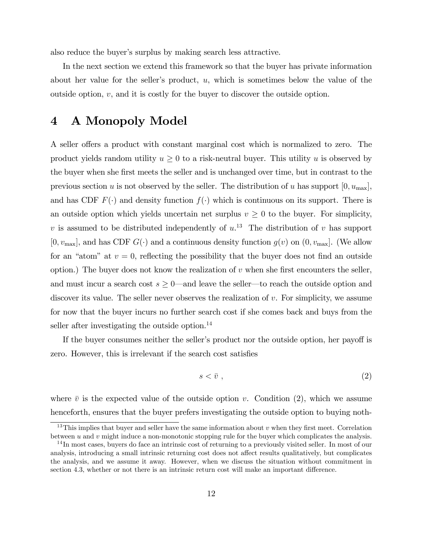also reduce the buyer's surplus by making search less attractive.

In the next section we extend this framework so that the buyer has private information about her value for the seller's product,  $u$ , which is sometimes below the value of the outside option,  $v$ , and it is costly for the buyer to discover the outside option.

# 4 A Monopoly Model

A seller offers a product with constant marginal cost which is normalized to zero. The product yields random utility  $u \geq 0$  to a risk-neutral buyer. This utility u is observed by the buyer when she first meets the seller and is unchanged over time, but in contrast to the previous section u is not observed by the seller. The distribution of u has support  $[0, u_{\text{max}}]$ , and has CDF  $F(\cdot)$  and density function  $f(\cdot)$  which is continuous on its support. There is an outside option which yields uncertain net surplus  $v \geq 0$  to the buyer. For simplicity, v is assumed to be distributed independently of  $u^{13}$ . The distribution of v has support  $[0, v_{\text{max}}]$ , and has CDF  $G(\cdot)$  and a continuous density function  $g(v)$  on  $(0, v_{\text{max}}]$ . (We allow for an "atom" at  $v = 0$ , reflecting the possibility that the buyer does not find an outside option.) The buyer does not know the realization of  $v$  when she first encounters the seller, and must incur a search cost  $s \geq 0$ —and leave the seller—to reach the outside option and discover its value. The seller never observes the realization of  $v$ . For simplicity, we assume for now that the buyer incurs no further search cost if she comes back and buys from the seller after investigating the outside option. $^{14}$ 

If the buyer consumes neither the seller's product nor the outside option, her payoff is zero. However, this is irrelevant if the search cost satisfies

$$
s < \bar{v} \tag{2}
$$

where  $\bar{v}$  is the expected value of the outside option v. Condition (2), which we assume henceforth, ensures that the buyer prefers investigating the outside option to buying noth-

<sup>&</sup>lt;sup>13</sup>This implies that buyer and seller have the same information about  $v$  when they first meet. Correlation between  $u$  and  $v$  might induce a non-monotonic stopping rule for the buyer which complicates the analysis.

<sup>&</sup>lt;sup>14</sup>In most cases, buyers do face an intrinsic cost of returning to a previously visited seller. In most of our analysis, introducing a small intrinsic returning cost does not affect results qualitatively, but complicates the analysis, and we assume it away. However, when we discuss the situation without commitment in section 4.3, whether or not there is an intrinsic return cost will make an important difference.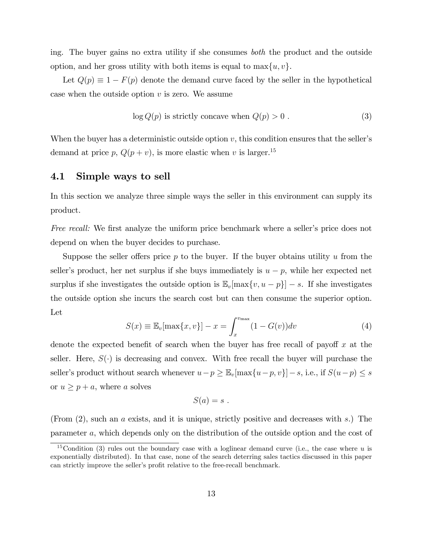ing. The buyer gains no extra utility if she consumes both the product and the outside option, and her gross utility with both items is equal to  $\max\{u, v\}$ .

Let  $Q(p) \equiv 1 - F(p)$  denote the demand curve faced by the seller in the hypothetical case when the outside option  $v$  is zero. We assume

$$
\log Q(p) \text{ is strictly concave when } Q(p) > 0. \tag{3}
$$

When the buyer has a deterministic outside option  $v$ , this condition ensures that the seller's demand at price p,  $Q(p + v)$ , is more elastic when v is larger.<sup>15</sup>

### 4.1 Simple ways to sell

In this section we analyze three simple ways the seller in this environment can supply its product.

Free recall: We first analyze the uniform price benchmark where a seller's price does not depend on when the buyer decides to purchase.

Suppose the seller offers price p to the buyer. If the buyer obtains utility u from the seller's product, her net surplus if she buys immediately is  $u - p$ , while her expected net surplus if she investigates the outside option is  $\mathbb{E}_v[\max\{v, u - p\}] - s$ . If she investigates the outside option she incurs the search cost but can then consume the superior option. Let

$$
S(x) \equiv \mathbb{E}_v[\max\{x, v\}] - x = \int_x^{v_{\max}} (1 - G(v)) dv \tag{4}
$$

denote the expected benefit of search when the buyer has free recall of payoff  $x$  at the seller. Here,  $S(\cdot)$  is decreasing and convex. With free recall the buyer will purchase the seller's product without search whenever  $u-p \geq \mathbb{E}_v[\max\{u-p, v\}]-s$ , i.e., if  $S(u-p) \leq s$ or  $u \geq p + a$ , where a solves

$$
S(a)=s.
$$

(From (2), such an a exists, and it is unique, strictly positive and decreases with s.) The parameter a, which depends only on the distribution of the outside option and the cost of

<sup>&</sup>lt;sup>15</sup>Condition (3) rules out the boundary case with a loglinear demand curve (i.e., the case where u is exponentially distributed). In that case, none of the search deterring sales tactics discussed in this paper can strictly improve the seller's profit relative to the free-recall benchmark.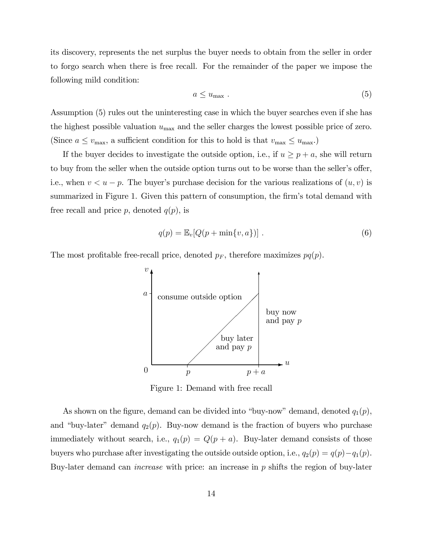its discovery, represents the net surplus the buyer needs to obtain from the seller in order to forgo search when there is free recall. For the remainder of the paper we impose the following mild condition:

$$
a \le u_{\text{max}} \tag{5}
$$

Assumption (5) rules out the uninteresting case in which the buyer searches even if she has the highest possible valuation  $u_{\text{max}}$  and the seller charges the lowest possible price of zero. (Since  $a \le v_{\text{max}}$ , a sufficient condition for this to hold is that  $v_{\text{max}} \le u_{\text{max}}$ .)

If the buyer decides to investigate the outside option, i.e., if  $u \ge p + a$ , she will return to buy from the seller when the outside option turns out to be worse than the seller's offer, i.e., when  $v < u - p$ . The buyer's purchase decision for the various realizations of  $(u, v)$  is summarized in Figure 1. Given this pattern of consumption, the firm's total demand with free recall and price p, denoted  $q(p)$ , is

$$
q(p) = \mathbb{E}_v[Q(p + \min\{v, a\})]. \tag{6}
$$

The most profitable free-recall price, denoted  $p_F$ , therefore maximizes  $pq(p)$ .



Figure 1: Demand with free recall

As shown on the figure, demand can be divided into "buy-now" demand, denoted  $q_1(p)$ , and "buy-later" demand  $q_2(p)$ . Buy-now demand is the fraction of buyers who purchase immediately without search, i.e.,  $q_1(p) = Q(p + a)$ . Buy-later demand consists of those buyers who purchase after investigating the outside outside option, i.e.,  $q_2(p) = q(p) - q_1(p)$ . Buy-later demand can *increase* with price: an increase in  $p$  shifts the region of buy-later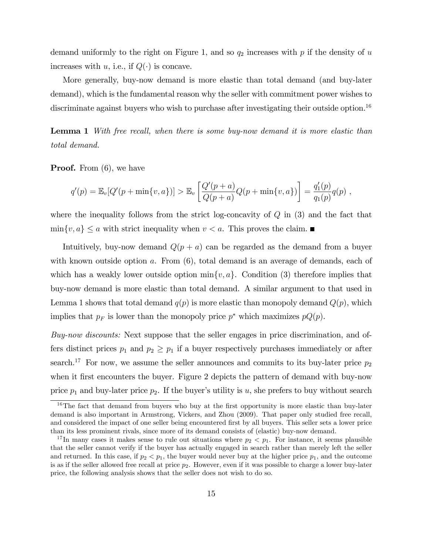demand uniformly to the right on Figure 1, and so  $q_2$  increases with p if the density of u increases with u, i.e., if  $Q(\cdot)$  is concave.

More generally, buy-now demand is more elastic than total demand (and buy-later demand), which is the fundamental reason why the seller with commitment power wishes to discriminate against buyers who wish to purchase after investigating their outside option.<sup>16</sup>

Lemma 1 With free recall, when there is some buy-now demand it is more elastic than total demand.

**Proof.** From  $(6)$ , we have

$$
q'(p) = \mathbb{E}_v[Q'(p + \min\{v, a\})] > \mathbb{E}_v\left[\frac{Q'(p + a)}{Q(p + a)}Q(p + \min\{v, a\})\right] = \frac{q'_1(p)}{q_1(p)}q(p) ,
$$

where the inequality follows from the strict log-concavity of  $Q$  in  $(3)$  and the fact that  $\min\{v, a\} \le a$  with strict inequality when  $v < a$ . This proves the claim.

Intuitively, buy-now demand  $Q(p + a)$  can be regarded as the demand from a buyer with known outside option  $a$ . From  $(6)$ , total demand is an average of demands, each of which has a weakly lower outside option  $\min\{v, a\}$ . Condition (3) therefore implies that buy-now demand is more elastic than total demand. A similar argument to that used in Lemma 1 shows that total demand  $q(p)$  is more elastic than monopoly demand  $Q(p)$ , which implies that  $p_F$  is lower than the monopoly price  $p^*$  which maximizes  $pQ(p)$ .

Buy-now discounts: Next suppose that the seller engages in price discrimination, and offers distinct prices  $p_1$  and  $p_2 \geq p_1$  if a buyer respectively purchases immediately or after search.<sup>17</sup> For now, we assume the seller announces and commits to its buy-later price  $p_2$ when it first encounters the buyer. Figure 2 depicts the pattern of demand with buy-now price  $p_1$  and buy-later price  $p_2$ . If the buyer's utility is u, she prefers to buy without search

 $16$ The fact that demand from buyers who buy at the first opportunity is more elastic than buy-later demand is also important in Armstrong, Vickers, and Zhou (2009). That paper only studied free recall, and considered the impact of one seller being encountered first by all buyers. This seller sets a lower price than its less prominent rivals, since more of its demand consists of (elastic) buy-now demand.

<sup>&</sup>lt;sup>17</sup>In many cases it makes sense to rule out situations where  $p_2 < p_1$ . For instance, it seems plausible that the seller cannot verify if the buyer has actually engaged in search rather than merely left the seller and returned. In this case, if  $p_2 < p_1$ , the buyer would never buy at the higher price  $p_1$ , and the outcome is as if the seller allowed free recall at price  $p_2$ . However, even if it was possible to charge a lower buy-later price, the following analysis shows that the seller does not wish to do so.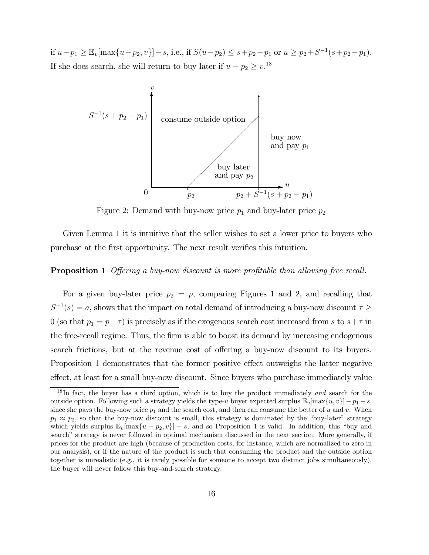if  $u-p_1 \geq \mathbb{E}_v[\max\{u-p_2, v\}]-s$ , i.e., if  $S(u-p_2) \leq s+p_2-p_1$  or  $u \geq p_2+S^{-1}(s+p_2-p_1)$ . If she does search, she will return to buy later if  $u - p_2 \geq v^{18}$ .



Figure 2: Demand with buy-now price  $p_1$  and buy-later price  $p_2$ 

Given Lemma 1 it is intuitive that the seller wishes to set a lower price to buyers who purchase at the first opportunity. The next result verifies this intuition.

### **Proposition 1** Offering a buy-now discount is more profitable than allowing free recall.

For a given buy-later price  $p_2 = p$ , comparing Figures 1 and 2, and recalling that  $S^{-1}(s) = a$ , shows that the impact on total demand of introducing a buy-now discount  $\tau \geq$ 0 (so that  $p_1 = p - \tau$ ) is precisely as if the exogenous search cost increased from s to  $s + \tau$  in the free-recall regime. Thus, the firm is able to boost its demand by increasing endogenous search frictions, but at the revenue cost of offering a buy-now discount to its buyers. Proposition 1 demonstrates that the former positive effect outweighs the latter negative effect, at least for a small buy-now discount. Since buyers who purchase immediately value

<sup>&</sup>lt;sup>18</sup>In fact, the buyer has a third option, which is to buy the product immediately *and* search for the outside option. Following such a strategy yields the type-u buyer expected surplus  $\mathbb{E}_v[\max\{u, v\}] - p_1 - s$ , since she pays the buy-now price  $p_1$  and the search cost, and then can consume the better of u and v. When  $p_1 \approx p_2$ , so that the buy-now discount is small, this strategy is dominated by the "buy-later" strategy which yields surplus  $\mathbb{E}_v[\max\{u - p_2, v\}] - s$ , and so Proposition 1 is valid. In addition, this "buy and search" strategy is never followed in optimal mechanism discussed in the next section. More generally, if prices for the product are high (because of production costs, for instance, which are normalized to zero in our analysis), or if the nature of the product is such that consuming the product and the outside option together is unrealistic (e.g., it is rarely possible for someone to accept two distinct jobs simultaneously), the buyer will never follow this buy-and-search strategy.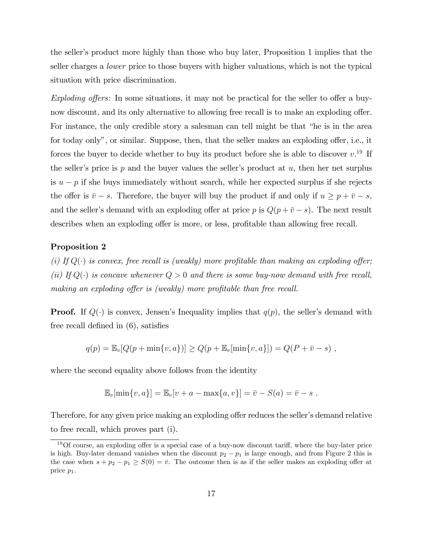the seller's product more highly than those who buy later, Proposition 1 implies that the seller charges a lower price to those buyers with higher valuations, which is not the typical situation with price discrimination.

Exploding offers: In some situations, it may not be practical for the seller to offer a buynow discount, and its only alternative to allowing free recall is to make an exploding offer. For instance, the only credible story a salesman can tell might be that "he is in the area for today only", or similar. Suppose, then, that the seller makes an exploding offer, i.e., it forces the buyer to decide whether to buy its product before she is able to discover  $v.^{19}$  If the seller's price is p and the buyer values the seller's product at  $u$ , then her net surplus is  $u - p$  if she buys immediately without search, while her expected surplus if she rejects the offer is  $\bar{v} - s$ . Therefore, the buyer will buy the product if and only if  $u \ge p + \bar{v} - s$ , and the seller's demand with an exploding offer at price p is  $Q(p + \overline{v} - s)$ . The next result describes when an exploding offer is more, or less, profitable than allowing free recall.

### Proposition 2

(i) If  $Q(\cdot)$  is convex, free recall is (weakly) more profitable than making an exploding offer; (ii) If  $Q(\cdot)$  is concave whenever  $Q > 0$  and there is some buy-now demand with free recall, making an exploding offer is (weakly) more profitable than free recall.

**Proof.** If  $Q(\cdot)$  is convex, Jensen's Inequality implies that  $q(p)$ , the seller's demand with free recall defined in  $(6)$ , satisfies

$$
q(p) = \mathbb{E}_v[Q(p + \min\{v, a\})] \ge Q(p + \mathbb{E}_v[\min\{v, a\}]) = Q(P + \bar{v} - s) ,
$$

where the second equality above follows from the identity

$$
\mathbb{E}_{v}[\min\{v,a\}] = \mathbb{E}_{v}[v+a - \max\{a,v\}] = \bar{v} - S(a) = \bar{v} - s.
$$

Therefore, for any given price making an exploding offer reduces the seller's demand relative to free recall, which proves part (i).

 $19$ Of course, an exploding offer is a special case of a buy-now discount tariff, where the buy-later price is high. Buy-later demand vanishes when the discount  $p_2 - p_1$  is large enough, and from Figure 2 this is the case when  $s + p_2 - p_1 \ge S(0) = \overline{v}$ . The outcome then is as if the seller makes an exploding offer at price p1.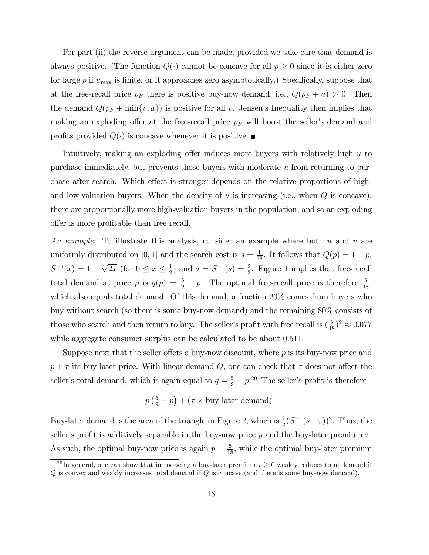For part (ii) the reverse argument can be made, provided we take care that demand is always positive. (The function  $Q(\cdot)$  cannot be concave for all  $p \geq 0$  since it is either zero for large  $p$  if  $u_{\text{max}}$  is finite, or it approaches zero asymptotically.) Specifically, suppose that at the free-recall price  $p_F$  there is positive buy-now demand, i.e.,  $Q(p_F + a) > 0$ . Then the demand  $Q(p_F + min\{v, a\})$  is positive for all v. Jensen's Inequality then implies that making an exploding offer at the free-recall price  $p_F$  will boost the seller's demand and profits provided  $Q(\cdot)$  is concave whenever it is positive.

Intuitively, making an exploding offer induces more buyers with relatively high  $u$  to purchase immediately, but prevents those buyers with moderate  $u$  from returning to purchase after search. Which effect is stronger depends on the relative proportions of highand low-valuation buyers. When the density of  $u$  is increasing (i.e., when  $Q$  is concave), there are proportionally more high-valuation buyers in the population, and so an exploding offer is more profitable than free recall.

An example: To illustrate this analysis, consider an example where both u and v are uniformly distributed on [0, 1] and the search cost is  $s = \frac{1}{18}$ . It follows that  $Q(p) = 1 - p$ ,  $S^{-1}(x) = 1 - \sqrt{2x}$  (for  $0 \le x \le \frac{1}{2}$  $\frac{1}{2}$  and  $a = S^{-1}(s) = \frac{2}{3}$ . Figure 1 implies that free-recall total demand at price p is  $q(p) = \frac{5}{9} - p$ . The optimal free-recall price is therefore  $\frac{5}{18}$ , which also equals total demand. Of this demand, a fraction  $20\%$  comes from buyers who buy without search (so there is some buy-now demand) and the remaining 80% consists of those who search and then return to buy. The seller's profit with free recall is  $(\frac{5}{18})^2 \approx 0.077$ while aggregate consumer surplus can be calculated to be about 0.511.

Suppose next that the seller offers a buy-now discount, where  $p$  is its buy-now price and  $p + \tau$  its buy-later price. With linear demand Q, one can check that  $\tau$  does not affect the seller's total demand, which is again equal to  $q = \frac{5}{9} - p^{20}$ . The seller's profit is therefore

$$
p\left(\frac{5}{9}-p\right)+(\tau\times\text{buy-later demand})
$$
 .

Buy-later demand is the area of the triangle in Figure 2, which is  $\frac{1}{2}(S^{-1}(s+\tau))^2$ . Thus, the seller's profit is additively separable in the buy-now price  $p$  and the buy-later premium  $\tau$ . As such, the optimal buy-now price is again  $p = \frac{5}{18}$ , while the optimal buy-later premium

<sup>&</sup>lt;sup>20</sup>In general, one can show that introducing a buy-later premium  $\tau \geq 0$  weakly reduces total demand if  $Q$  is convex and weakly increases total demand if  $Q$  is concave (and there is some buy-now demand).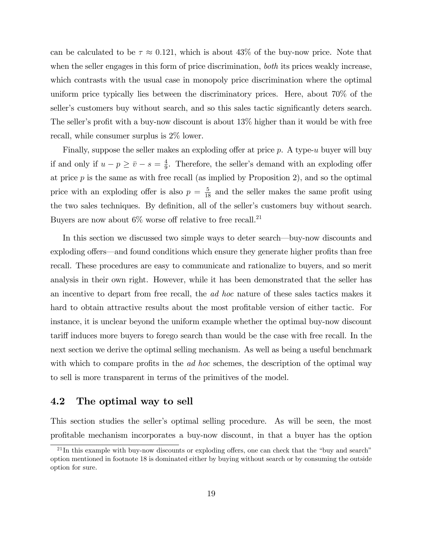can be calculated to be  $\tau \approx 0.121$ , which is about 43% of the buy-now price. Note that when the seller engages in this form of price discrimination, *both* its prices weakly increase, which contrasts with the usual case in monopoly price discrimination where the optimal uniform price typically lies between the discriminatory prices. Here, about 70% of the seller's customers buy without search, and so this sales tactic significantly deters search. The seller's profit with a buy-now discount is about  $13\%$  higher than it would be with free recall, while consumer surplus is 2% lower.

Finally, suppose the seller makes an exploding offer at price  $p$ . A type-u buyer will buy if and only if  $u - p \geq \overline{v} - s = \frac{4}{9}$  $\frac{4}{9}$ . Therefore, the seller's demand with an exploding offer at price  $p$  is the same as with free recall (as implied by Proposition 2), and so the optimal price with an exploding offer is also  $p = \frac{5}{18}$  and the seller makes the same profit using the two sales techniques. By definition, all of the seller's customers buy without search. Buyers are now about  $6\%$  worse off relative to free recall.<sup>21</sup>

In this section we discussed two simple ways to deter search—buy-now discounts and exploding offers—and found conditions which ensure they generate higher profits than free recall. These procedures are easy to communicate and rationalize to buyers, and so merit analysis in their own right. However, while it has been demonstrated that the seller has an incentive to depart from free recall, the ad hoc nature of these sales tactics makes it hard to obtain attractive results about the most profitable version of either tactic. For instance, it is unclear beyond the uniform example whether the optimal buy-now discount tariff induces more buyers to forego search than would be the case with free recall. In the next section we derive the optimal selling mechanism. As well as being a useful benchmark with which to compare profits in the *ad hoc* schemes, the description of the optimal way to sell is more transparent in terms of the primitives of the model.

### 4.2 The optimal way to sell

This section studies the seller's optimal selling procedure. As will be seen, the most profitable mechanism incorporates a buy-now discount, in that a buyer has the option

 $21$ In this example with buy-now discounts or exploding offers, one can check that the "buy and search" option mentioned in footnote 18 is dominated either by buying without search or by consuming the outside option for sure.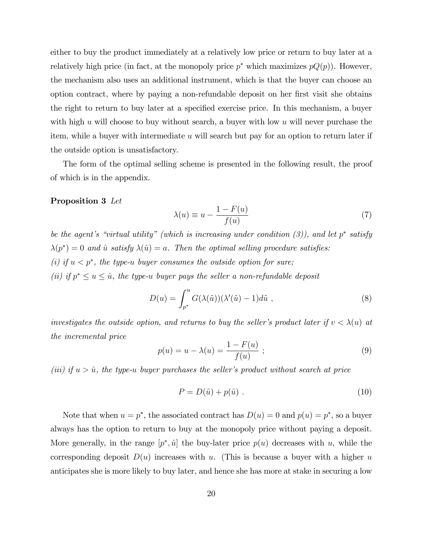either to buy the product immediately at a relatively low price or return to buy later at a relatively high price (in fact, at the monopoly price  $p^*$  which maximizes  $pQ(p)$ ). However, the mechanism also uses an additional instrument, which is that the buyer can choose an option contract, where by paying a non-refundable deposit on her first visit she obtains the right to return to buy later at a specified exercise price. In this mechanism, a buyer with high u will choose to buy without search, a buyer with low u will never purchase the item, while a buyer with intermediate  $u$  will search but pay for an option to return later if the outside option is unsatisfactory.

The form of the optimal selling scheme is presented in the following result, the proof of which is in the appendix.

### Proposition 3 Let

$$
\lambda(u) \equiv u - \frac{1 - F(u)}{f(u)}\tag{7}
$$

be the agent's "virtual utility" (which is increasing under condition  $(3)$ ), and let p<sup>\*</sup> satisfy  $\lambda(p^*) = 0$  and  $\hat{u}$  satisfy  $\lambda(\hat{u}) = a$ . Then the optimal selling procedure satisfies: (i) if  $u < p^*$ , the type-u buyer consumes the outside option for sure; (ii) if  $p^* \le u \le \hat{u}$ , the type-u buyer pays the seller a non-refundable deposit

$$
D(u) = \int_{p^*}^u G(\lambda(\tilde{u}))(\lambda'(\tilde{u}) - 1)d\tilde{u} , \qquad (8)
$$

investigates the outside option, and returns to buy the seller's product later if  $v < \lambda(u)$  at the incremental price

$$
p(u) = u - \lambda(u) = \frac{1 - F(u)}{f(u)}; \qquad (9)
$$

(iii) if  $u > \hat{u}$ , the type-u buyer purchases the seller's product without search at price

$$
P = D(\hat{u}) + p(\hat{u}) \tag{10}
$$

Note that when  $u = p^*$ , the associated contract has  $D(u) = 0$  and  $p(u) = p^*$ , so a buyer always has the option to return to buy at the monopoly price without paying a deposit. More generally, in the range  $[p^*, \hat{u}]$  the buy-later price  $p(u)$  decreases with u, while the corresponding deposit  $D(u)$  increases with u. (This is because a buyer with a higher u anticipates she is more likely to buy later, and hence she has more at stake in securing a low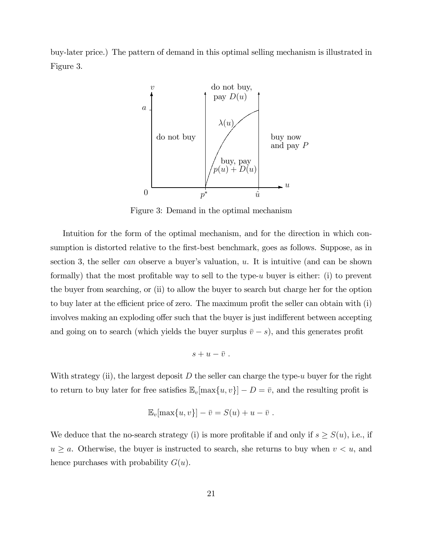buy-later price.) The pattern of demand in this optimal selling mechanism is illustrated in Figure 3.



Figure 3: Demand in the optimal mechanism

Intuition for the form of the optimal mechanism, and for the direction in which consumption is distorted relative to the first-best benchmark, goes as follows. Suppose, as in section 3, the seller can observe a buyer's valuation,  $u$ . It is intuitive (and can be shown formally) that the most profitable way to sell to the type- $u$  buyer is either: (i) to prevent the buyer from searching, or (ii) to allow the buyer to search but charge her for the option to buy later at the efficient price of zero. The maximum profit the seller can obtain with  $(i)$ involves making an exploding offer such that the buyer is just indifferent between accepting and going on to search (which yields the buyer surplus  $\bar{v} - s$ ), and this generates profit

$$
s+u-\bar{v} \ .
$$

With strategy (ii), the largest deposit  $D$  the seller can charge the type-u buyer for the right to return to buy later for free satisfies  $\mathbb{E}_{v}[\max\{u, v\}] - D = \overline{v}$ , and the resulting profit is

$$
\mathbb{E}_v[\max\{u,v\}] - \bar{v} = S(u) + u - \bar{v} .
$$

We deduce that the no-search strategy (i) is more profitable if and only if  $s \ge S(u)$ , i.e., if  $u \ge a$ . Otherwise, the buyer is instructed to search, she returns to buy when  $v < u$ , and hence purchases with probability  $G(u)$ .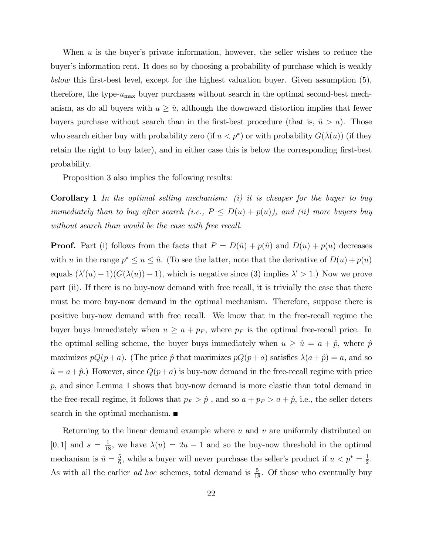When  $u$  is the buyer's private information, however, the seller wishes to reduce the buyer's information rent. It does so by choosing a probability of purchase which is weakly below this first-best level, except for the highest valuation buyer. Given assumption  $(5)$ , therefore, the type- $u_{\text{max}}$  buyer purchases without search in the optimal second-best mechanism, as do all buyers with  $u \geq \hat{u}$ , although the downward distortion implies that fewer buyers purchase without search than in the first-best procedure (that is,  $\hat{u} > a$ ). Those who search either buy with probability zero (if  $u < p^*$ ) or with probability  $G(\lambda(u))$  (if they retain the right to buy later), and in either case this is below the corresponding first-best probability.

Proposition 3 also implies the following results:

**Corollary 1** In the optimal selling mechanism: (i) it is cheaper for the buyer to buy immediately than to buy after search (i.e.,  $P \le D(u) + p(u)$ ), and (ii) more buyers buy without search than would be the case with free recall.

**Proof.** Part (i) follows from the facts that  $P = D(\hat{u}) + p(\hat{u})$  and  $D(u) + p(u)$  decreases with u in the range  $p^* \le u \le \hat{u}$ . (To see the latter, note that the derivative of  $D(u) + p(u)$ equals  $(\lambda'(u) - 1)(G(\lambda(u)) - 1)$ , which is negative since (3) implies  $\lambda' > 1$ .) Now we prove part (ii). If there is no buy-now demand with free recall, it is trivially the case that there must be more buy-now demand in the optimal mechanism. Therefore, suppose there is positive buy-now demand with free recall. We know that in the free-recall regime the buyer buys immediately when  $u \ge a + p_F$ , where  $p_F$  is the optimal free-recall price. In the optimal selling scheme, the buyer buys immediately when  $u \geq \hat{u} = a + \hat{p}$ , where  $\hat{p}$ maximizes  $pQ(p + a)$ . (The price  $\hat{p}$  that maximizes  $pQ(p + a)$  satisfies  $\lambda(a + \hat{p}) = a$ , and so  $\hat{u} = a + \hat{p}$ .) However, since  $Q(p+a)$  is buy-now demand in the free-recall regime with price  $p$ , and since Lemma 1 shows that buy-now demand is more elastic than total demand in the free-recall regime, it follows that  $p_F > \hat{p}$ , and so  $a + p_F > a + \hat{p}$ , i.e., the seller deters search in the optimal mechanism.

Returning to the linear demand example where  $u$  and  $v$  are uniformly distributed on [0, 1] and  $s = \frac{1}{18}$ , we have  $\lambda(u) = 2u - 1$  and so the buy-now threshold in the optimal mechanism is  $\hat{u} = \frac{5}{6}$  $\frac{5}{6}$ , while a buyer will never purchase the seller's product if  $u < p^* = \frac{1}{2}$  $\frac{1}{2}$ . As with all the earlier *ad hoc* schemes, total demand is  $\frac{5}{18}$ . Of those who eventually buy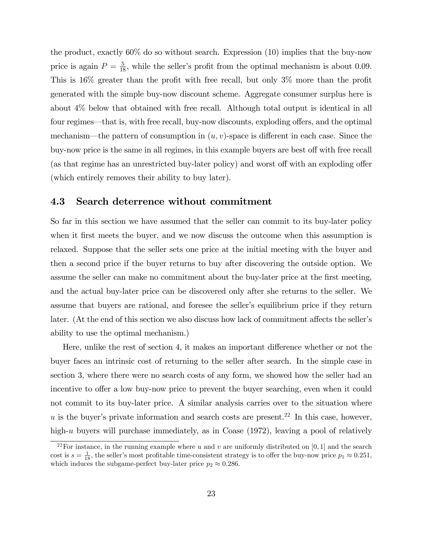the product, exactly 60% do so without search. Expression (10) implies that the buy-now price is again  $P = \frac{5}{18}$ , while the seller's profit from the optimal mechanism is about 0.09. This is  $16\%$  greater than the profit with free recall, but only  $3\%$  more than the profit generated with the simple buy-now discount scheme. Aggregate consumer surplus here is about 4% below that obtained with free recall. Although total output is identical in all four regimes—that is, with free recall, buy-now discounts, exploding offers, and the optimal mechanism—the pattern of consumption in  $(u, v)$ -space is different in each case. Since the buy-now price is the same in all regimes, in this example buyers are best off with free recall (as that regime has an unrestricted buy-later policy) and worst off with an exploding offer (which entirely removes their ability to buy later).

### 4.3 Search deterrence without commitment

So far in this section we have assumed that the seller can commit to its buy-later policy when it first meets the buyer, and we now discuss the outcome when this assumption is relaxed. Suppose that the seller sets one price at the initial meeting with the buyer and then a second price if the buyer returns to buy after discovering the outside option. We assume the seller can make no commitment about the buy-later price at the Örst meeting, and the actual buy-later price can be discovered only after she returns to the seller. We assume that buyers are rational, and foresee the seller's equilibrium price if they return later. (At the end of this section we also discuss how lack of commitment affects the seller's ability to use the optimal mechanism.)

Here, unlike the rest of section 4, it makes an important difference whether or not the buyer faces an intrinsic cost of returning to the seller after search. In the simple case in section 3, where there were no search costs of any form, we showed how the seller had an incentive to offer a low buy-now price to prevent the buyer searching, even when it could not commit to its buy-later price. A similar analysis carries over to the situation where u is the buyer's private information and search costs are present.<sup>22</sup> In this case, however, high-u buyers will purchase immediately, as in Coase (1972), leaving a pool of relatively

<sup>&</sup>lt;sup>22</sup>For instance, in the running example where u and v are uniformly distributed on [0, 1] and the search cost is  $s = \frac{1}{18}$ , the seller's most profitable time-consistent strategy is to offer the buy-now price  $p_1 \approx 0.251$ , which induces the subgame-perfect buy-later price  $p_2 \approx 0.286$ .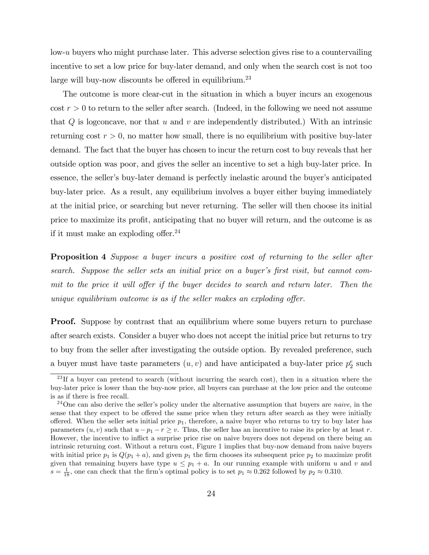low-u buyers who might purchase later. This adverse selection gives rise to a countervailing incentive to set a low price for buy-later demand, and only when the search cost is not too large will buy-now discounts be offered in equilibrium.<sup>23</sup>

The outcome is more clear-cut in the situation in which a buyer incurs an exogenous  $\cot r > 0$  to return to the seller after search. (Indeed, in the following we need not assume that  $Q$  is logconcave, nor that  $u$  and  $v$  are independently distributed.) With an intrinsic returning  $\cos t$  r  $> 0$ , no matter how small, there is no equilibrium with positive buy-later demand. The fact that the buyer has chosen to incur the return cost to buy reveals that her outside option was poor, and gives the seller an incentive to set a high buy-later price. In essence, the seller's buy-later demand is perfectly inelastic around the buyer's anticipated buy-later price. As a result, any equilibrium involves a buyer either buying immediately at the initial price, or searching but never returning. The seller will then choose its initial price to maximize its profit, anticipating that no buyer will return, and the outcome is as if it must make an exploding offer.<sup>24</sup>

**Proposition 4** Suppose a buyer incurs a positive cost of returning to the seller after search. Suppose the seller sets an initial price on a buyer's first visit, but cannot commit to the price it will offer if the buyer decides to search and return later. Then the unique equilibrium outcome is as if the seller makes an exploding offer.

**Proof.** Suppose by contrast that an equilibrium where some buyers return to purchase after search exists. Consider a buyer who does not accept the initial price but returns to try to buy from the seller after investigating the outside option. By revealed preference, such a buyer must have taste parameters  $(u, v)$  and have anticipated a buy-later price  $p_2^e$  such

<sup>&</sup>lt;sup>23</sup>If a buyer can pretend to search (without incurring the search cost), then in a situation where the buy-later price is lower than the buy-now price, all buyers can purchase at the low price and the outcome is as if there is free recall.

 $24$ One can also derive the seller's policy under the alternative assumption that buyers are *naive*, in the sense that they expect to be offered the same price when they return after search as they were initially offered. When the seller sets initial price  $p_1$ , therefore, a naive buyer who returns to try to buy later has parameters  $(u, v)$  such that  $u - p_1 - r \geq v$ . Thus, the seller has an incentive to raise its price by at least r. However, the incentive to inflict a surprise price rise on naive buyers does not depend on there being an intrinsic returning cost. Without a return cost, Figure 1 implies that buy-now demand from naive buyers with initial price  $p_1$  is  $Q(p_1 + a)$ , and given  $p_1$  the firm chooses its subsequent price  $p_2$  to maximize profit given that remaining buyers have type  $u \leq p_1 + a$ . In our running example with uniform u and v and  $s = \frac{1}{18}$ , one can check that the firm's optimal policy is to set  $p_1 \approx 0.262$  followed by  $p_2 \approx 0.310$ .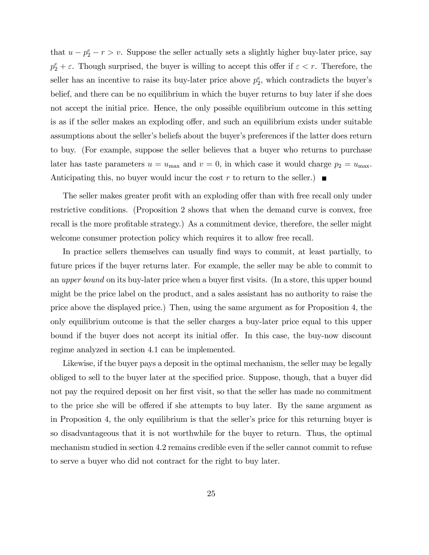that  $u - p_2^e - r > v$ . Suppose the seller actually sets a slightly higher buy-later price, say  $p_2^e + \varepsilon$ . Though surprised, the buyer is willing to accept this offer if  $\varepsilon < r$ . Therefore, the seller has an incentive to raise its buy-later price above  $p_2^e$ , which contradicts the buyer's belief, and there can be no equilibrium in which the buyer returns to buy later if she does not accept the initial price. Hence, the only possible equilibrium outcome in this setting is as if the seller makes an exploding offer, and such an equilibrium exists under suitable assumptions about the seller's beliefs about the buyer's preferences if the latter does return to buy. (For example, suppose the seller believes that a buyer who returns to purchase later has taste parameters  $u = u_{\text{max}}$  and  $v = 0$ , in which case it would charge  $p_2 = u_{\text{max}}$ . Anticipating this, no buyer would incur the cost r to return to the seller.)

The seller makes greater profit with an exploding offer than with free recall only under restrictive conditions. (Proposition 2 shows that when the demand curve is convex, free recall is the more profitable strategy.) As a commitment device, therefore, the seller might welcome consumer protection policy which requires it to allow free recall.

In practice sellers themselves can usually Önd ways to commit, at least partially, to future prices if the buyer returns later. For example, the seller may be able to commit to an upper bound on its buy-later price when a buyer first visits. (In a store, this upper bound might be the price label on the product, and a sales assistant has no authority to raise the price above the displayed price.) Then, using the same argument as for Proposition 4, the only equilibrium outcome is that the seller charges a buy-later price equal to this upper bound if the buyer does not accept its initial offer. In this case, the buy-now discount regime analyzed in section 4.1 can be implemented.

Likewise, if the buyer pays a deposit in the optimal mechanism, the seller may be legally obliged to sell to the buyer later at the specified price. Suppose, though, that a buyer did not pay the required deposit on her first visit, so that the seller has made no commitment to the price she will be offered if she attempts to buy later. By the same argument as in Proposition 4, the only equilibrium is that the seller's price for this returning buyer is so disadvantageous that it is not worthwhile for the buyer to return. Thus, the optimal mechanism studied in section 4.2 remains credible even if the seller cannot commit to refuse to serve a buyer who did not contract for the right to buy later.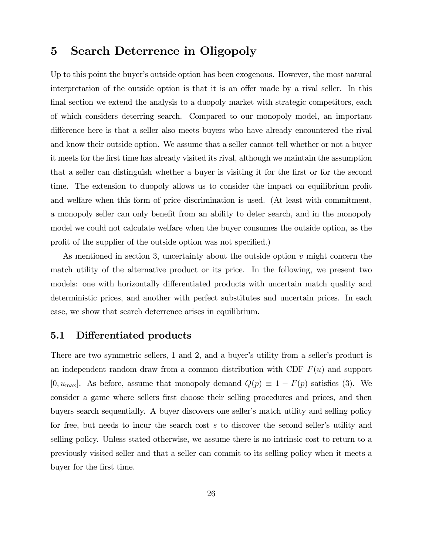# 5 Search Deterrence in Oligopoly

Up to this point the buyer's outside option has been exogenous. However, the most natural interpretation of the outside option is that it is an offer made by a rival seller. In this final section we extend the analysis to a duopoly market with strategic competitors, each of which considers deterring search. Compared to our monopoly model, an important difference here is that a seller also meets buyers who have already encountered the rival and know their outside option. We assume that a seller cannot tell whether or not a buyer it meets for the Örst time has already visited its rival, although we maintain the assumption that a seller can distinguish whether a buyer is visiting it for the first or for the second time. The extension to duopoly allows us to consider the impact on equilibrium profit and welfare when this form of price discrimination is used. (At least with commitment, a monopoly seller can only benefit from an ability to deter search, and in the monopoly model we could not calculate welfare when the buyer consumes the outside option, as the profit of the supplier of the outside option was not specified.)

As mentioned in section 3, uncertainty about the outside option  $v$  might concern the match utility of the alternative product or its price. In the following, we present two models: one with horizontally differentiated products with uncertain match quality and deterministic prices, and another with perfect substitutes and uncertain prices. In each case, we show that search deterrence arises in equilibrium.

## 5.1 Differentiated products

There are two symmetric sellers, 1 and 2, and a buyer's utility from a seller's product is an independent random draw from a common distribution with CDF  $F(u)$  and support [0,  $u_{\text{max}}$ ]. As before, assume that monopoly demand  $Q(p) \equiv 1 - F(p)$  satisfies (3). We consider a game where sellers first choose their selling procedures and prices, and then buyers search sequentially. A buyer discovers one seller's match utility and selling policy for free, but needs to incur the search cost  $s$  to discover the second seller's utility and selling policy. Unless stated otherwise, we assume there is no intrinsic cost to return to a previously visited seller and that a seller can commit to its selling policy when it meets a buyer for the first time.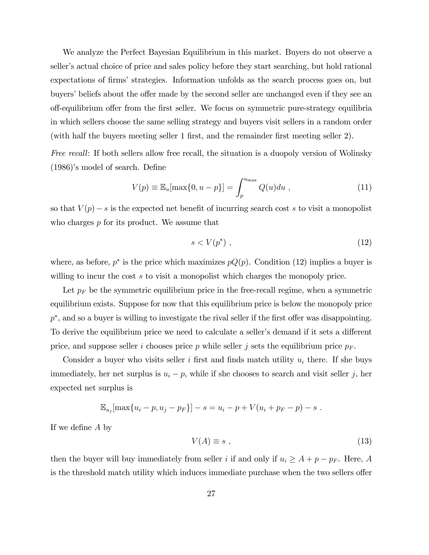We analyze the Perfect Bayesian Equilibrium in this market. Buyers do not observe a seller's actual choice of price and sales policy before they start searching, but hold rational expectations of firms' strategies. Information unfolds as the search process goes on, but buyers' beliefs about the offer made by the second seller are unchanged even if they see an off-equilibrium offer from the first seller. We focus on symmetric pure-strategy equilibria in which sellers choose the same selling strategy and buyers visit sellers in a random order (with half the buyers meeting seller 1 first, and the remainder first meeting seller 2).

Free recall: If both sellers allow free recall, the situation is a duopoly version of Wolinsky  $(1986)$ 's model of search. Define

$$
V(p) \equiv \mathbb{E}_u[\max\{0, u - p\}] = \int_p^{u_{\max}} Q(u) du , \qquad (11)
$$

so that  $V(p) - s$  is the expected net benefit of incurring search cost s to visit a monopolist who charges  $p$  for its product. We assume that

$$
s < V(p^*) \tag{12}
$$

where, as before,  $p^*$  is the price which maximizes  $pQ(p)$ . Condition (12) implies a buyer is willing to incur the cost s to visit a monopolist which charges the monopoly price.

Let  $p_F$  be the symmetric equilibrium price in the free-recall regime, when a symmetric equilibrium exists. Suppose for now that this equilibrium price is below the monopoly price  $p^*$ , and so a buyer is willing to investigate the rival seller if the first offer was disappointing. To derive the equilibrium price we need to calculate a seller's demand if it sets a different price, and suppose seller i chooses price p while seller j sets the equilibrium price  $p_F$ .

Consider a buyer who visits seller i first and finds match utility  $u_i$  there. If she buys immediately, her net surplus is  $u_i - p$ , while if she chooses to search and visit seller j, her expected net surplus is

$$
\mathbb{E}_{u_j}[\max\{u_i - p, u_j - p_F\}] - s = u_i - p + V(u_i + p_F - p) - s.
$$

If we define  $A$  by

$$
V(A) \equiv s \tag{13}
$$

then the buyer will buy immediately from seller *i* if and only if  $u_i \geq A + p - p_F$ . Here, *A* is the threshold match utility which induces immediate purchase when the two sellers offer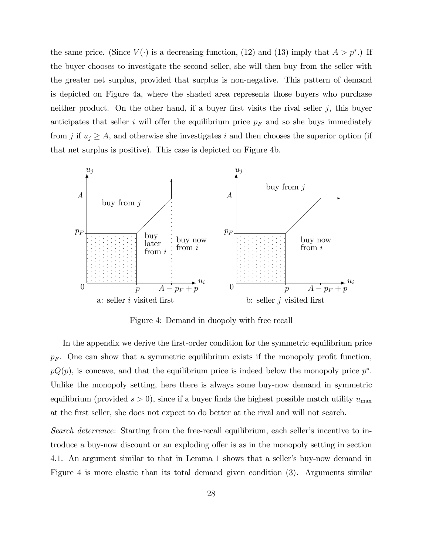the same price. (Since  $V(\cdot)$  is a decreasing function, (12) and (13) imply that  $A > p^*$ .) If the buyer chooses to investigate the second seller, she will then buy from the seller with the greater net surplus, provided that surplus is non-negative. This pattern of demand is depicted on Figure 4a, where the shaded area represents those buyers who purchase neither product. On the other hand, if a buyer first visits the rival seller  $j$ , this buyer anticipates that seller i will offer the equilibrium price  $p_F$  and so she buys immediately from j if  $u_j \geq A$ , and otherwise she investigates i and then chooses the superior option (if that net surplus is positive). This case is depicted on Figure 4b.



Figure 4: Demand in duopoly with free recall

In the appendix we derive the first-order condition for the symmetric equilibrium price  $p_F$ . One can show that a symmetric equilibrium exists if the monopoly profit function,  $pQ(p)$ , is concave, and that the equilibrium price is indeed below the monopoly price  $p^*$ . Unlike the monopoly setting, here there is always some buy-now demand in symmetric equilibrium (provided  $s > 0$ ), since if a buyer finds the highest possible match utility  $u_{\text{max}}$ at the Örst seller, she does not expect to do better at the rival and will not search.

Search deterrence: Starting from the free-recall equilibrium, each seller's incentive to introduce a buy-now discount or an exploding offer is as in the monopoly setting in section 4.1. An argument similar to that in Lemma 1 shows that a seller's buy-now demand in Figure 4 is more elastic than its total demand given condition (3). Arguments similar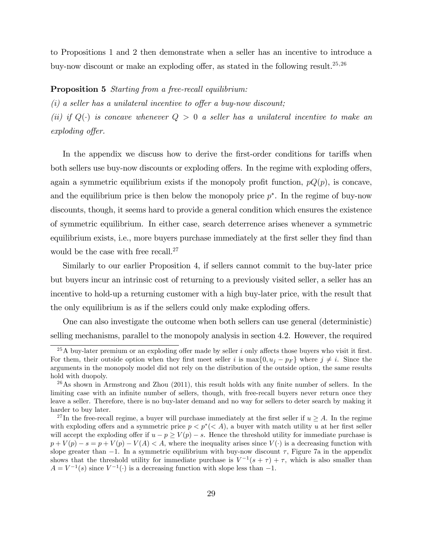to Propositions 1 and 2 then demonstrate when a seller has an incentive to introduce a buy-now discount or make an exploding offer, as stated in the following result.<sup>25,26</sup>

#### Proposition 5 Starting from a free-recall equilibrium:

 $(i)$  a seller has a unilateral incentive to offer a buy-now discount;

(ii) if  $Q(\cdot)$  is concave whenever  $Q > 0$  a seller has a unilateral incentive to make an  $exploding\;offer.$ 

In the appendix we discuss how to derive the first-order conditions for tariffs when both sellers use buy-now discounts or exploding offers. In the regime with exploding offers, again a symmetric equilibrium exists if the monopoly profit function,  $pQ(p)$ , is concave, and the equilibrium price is then below the monopoly price  $p^*$ . In the regime of buy-now discounts, though, it seems hard to provide a general condition which ensures the existence of symmetric equilibrium. In either case, search deterrence arises whenever a symmetric equilibrium exists, i.e., more buyers purchase immediately at the first seller they find than would be the case with free recall.<sup>27</sup>

Similarly to our earlier Proposition 4, if sellers cannot commit to the buy-later price but buyers incur an intrinsic cost of returning to a previously visited seller, a seller has an incentive to hold-up a returning customer with a high buy-later price, with the result that the only equilibrium is as if the sellers could only make exploding offers.

One can also investigate the outcome when both sellers can use general (deterministic) selling mechanisms, parallel to the monopoly analysis in section 4.2. However, the required

<sup>&</sup>lt;sup>25</sup>A buy-later premium or an exploding offer made by seller i only affects those buyers who visit it first. For them, their outside option when they first meet seller i is  $\max\{0, u_i - p_F\}$  where  $j \neq i$ . Since the arguments in the monopoly model did not rely on the distribution of the outside option, the same results hold with duopoly.

 $^{26}$ As shown in Armstrong and Zhou (2011), this result holds with any finite number of sellers. In the limiting case with an infinite number of sellers, though, with free-recall buyers never return once they leave a seller. Therefore, there is no buy-later demand and no way for sellers to deter search by making it harder to buy later.

<sup>&</sup>lt;sup>27</sup>In the free-recall regime, a buyer will purchase immediately at the first seller if  $u \ge A$ . In the regime with exploding offers and a symmetric price  $p < p^*(< A)$ , a buyer with match utility u at her first seller will accept the exploding offer if  $u - p \ge V(p) - s$ . Hence the threshold utility for immediate purchase is  $p + V(p) - s = p + V(p) - V(A) < A$ , where the inequality arises since  $V(\cdot)$  is a decreasing function with slope greater than  $-1$ . In a symmetric equilibrium with buy-now discount  $\tau$ , Figure 7a in the appendix shows that the threshold utility for immediate purchase is  $V^{-1}(s + \tau) + \tau$ , which is also smaller than  $A = V^{-1}(s)$  since  $V^{-1}(\cdot)$  is a decreasing function with slope less than  $-1$ .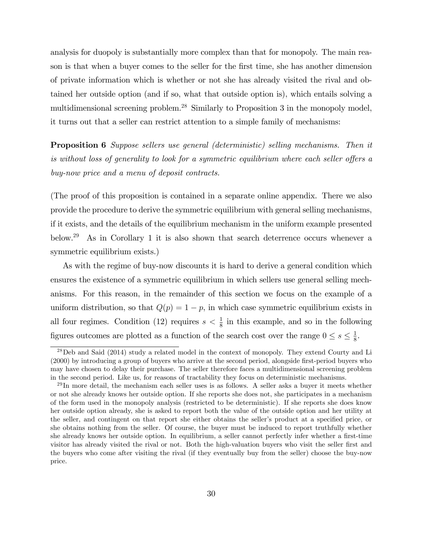analysis for duopoly is substantially more complex than that for monopoly. The main reason is that when a buyer comes to the seller for the first time, she has another dimension of private information which is whether or not she has already visited the rival and obtained her outside option (and if so, what that outside option is), which entails solving a multidimensional screening problem.<sup>28</sup> Similarly to Proposition 3 in the monopoly model, it turns out that a seller can restrict attention to a simple family of mechanisms:

Proposition 6 Suppose sellers use general (deterministic) selling mechanisms. Then it is without loss of generality to look for a symmetric equilibrium where each seller offers a buy-now price and a menu of deposit contracts.

(The proof of this proposition is contained in a separate online appendix. There we also provide the procedure to derive the symmetric equilibrium with general selling mechanisms, if it exists, and the details of the equilibrium mechanism in the uniform example presented below.<sup>29</sup> As in Corollary 1 it is also shown that search deterrence occurs whenever a symmetric equilibrium exists.)

As with the regime of buy-now discounts it is hard to derive a general condition which ensures the existence of a symmetric equilibrium in which sellers use general selling mechanisms. For this reason, in the remainder of this section we focus on the example of a uniform distribution, so that  $Q(p) = 1 - p$ , in which case symmetric equilibrium exists in all four regimes. Condition (12) requires  $s < \frac{1}{8}$  in this example, and so in the following figures outcomes are plotted as a function of the search cost over the range  $0 \leq s \leq \frac{1}{8}$  $\frac{1}{8}$ .

<sup>&</sup>lt;sup>28</sup>Deb and Said (2014) study a related model in the context of monopoly. They extend Courty and Li (2000) by introducing a group of buyers who arrive at the second period, alongside first-period buyers who may have chosen to delay their purchase. The seller therefore faces a multidimensional screening problem in the second period. Like us, for reasons of tractability they focus on deterministic mechanisms.

 $^{29}$ In more detail, the mechanism each seller uses is as follows. A seller asks a buyer it meets whether or not she already knows her outside option. If she reports she does not, she participates in a mechanism of the form used in the monopoly analysis (restricted to be deterministic). If she reports she does know her outside option already, she is asked to report both the value of the outside option and her utility at the seller, and contingent on that report she either obtains the seller's product at a specified price, or she obtains nothing from the seller. Of course, the buyer must be induced to report truthfully whether she already knows her outside option. In equilibrium, a seller cannot perfectly infer whether a first-time visitor has already visited the rival or not. Both the high-valuation buyers who visit the seller first and the buyers who come after visiting the rival (if they eventually buy from the seller) choose the buy-now price.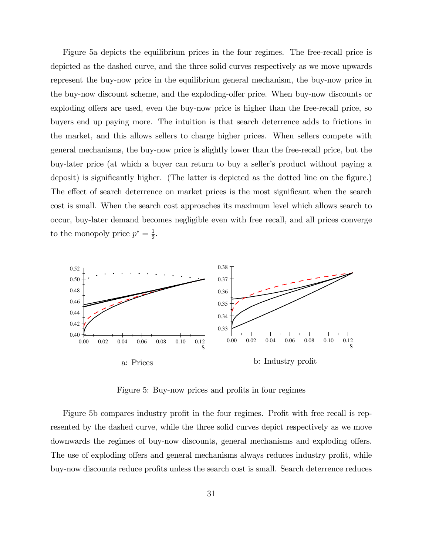Figure 5a depicts the equilibrium prices in the four regimes. The free-recall price is depicted as the dashed curve, and the three solid curves respectively as we move upwards represent the buy-now price in the equilibrium general mechanism, the buy-now price in the buy-now discount scheme, and the exploding-offer price. When buy-now discounts or exploding offers are used, even the buy-now price is higher than the free-recall price, so buyers end up paying more. The intuition is that search deterrence adds to frictions in the market, and this allows sellers to charge higher prices. When sellers compete with general mechanisms, the buy-now price is slightly lower than the free-recall price, but the buy-later price (at which a buyer can return to buy a seller's product without paying a deposit) is significantly higher. (The latter is depicted as the dotted line on the figure.) The effect of search deterrence on market prices is the most significant when the search cost is small. When the search cost approaches its maximum level which allows search to occur, buy-later demand becomes negligible even with free recall, and all prices converge to the monopoly price  $p^* = \frac{1}{2}$  $\frac{1}{2}$ .



Figure 5: Buy-now prices and profits in four regimes

Figure 5b compares industry profit in the four regimes. Profit with free recall is represented by the dashed curve, while the three solid curves depict respectively as we move downwards the regimes of buy-now discounts, general mechanisms and exploding offers. The use of exploding offers and general mechanisms always reduces industry profit, while buy-now discounts reduce profits unless the search cost is small. Search deterrence reduces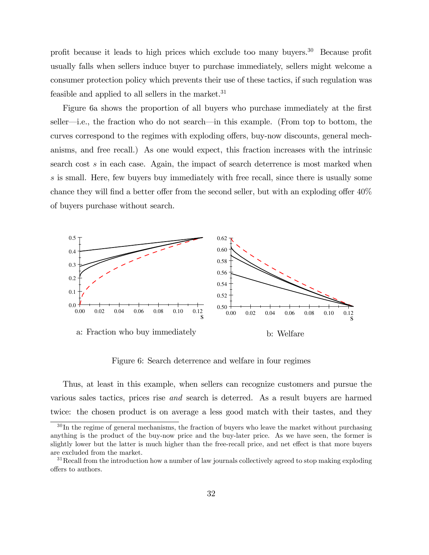profit because it leads to high prices which exclude too many buyers.<sup>30</sup> Because profit usually falls when sellers induce buyer to purchase immediately, sellers might welcome a consumer protection policy which prevents their use of these tactics, if such regulation was feasible and applied to all sellers in the market. $31$ 

Figure 6a shows the proportion of all buyers who purchase immediately at the first seller—i.e., the fraction who do not search—in this example. (From top to bottom, the curves correspond to the regimes with exploding offers, buy-now discounts, general mechanisms, and free recall.) As one would expect, this fraction increases with the intrinsic search cost s in each case. Again, the impact of search deterrence is most marked when s is small. Here, few buyers buy immediately with free recall, since there is usually some chance they will find a better offer from the second seller, but with an exploding offer  $40\%$ of buyers purchase without search.



Figure 6: Search deterrence and welfare in four regimes

Thus, at least in this example, when sellers can recognize customers and pursue the various sales tactics, prices rise and search is deterred. As a result buyers are harmed twice: the chosen product is on average a less good match with their tastes, and they

 $30$  In the regime of general mechanisms, the fraction of buyers who leave the market without purchasing anything is the product of the buy-now price and the buy-later price. As we have seen, the former is slightly lower but the latter is much higher than the free-recall price, and net effect is that more buyers are excluded from the market.

<sup>&</sup>lt;sup>31</sup>Recall from the introduction how a number of law journals collectively agreed to stop making exploding offers to authors.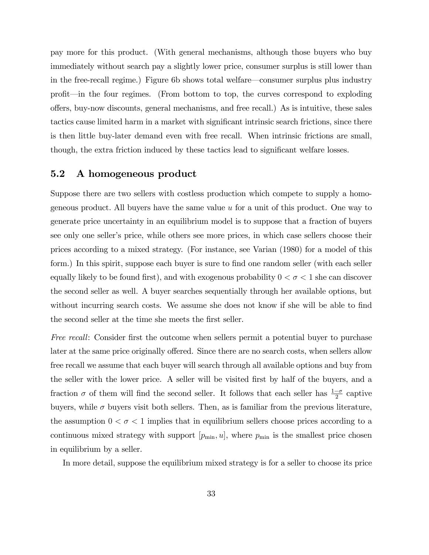pay more for this product. (With general mechanisms, although those buyers who buy immediately without search pay a slightly lower price, consumer surplus is still lower than in the free-recall regime.) Figure 6b shows total welfare—consumer surplus plus industry profit—in the four regimes. (From bottom to top, the curves correspond to exploding o§ers, buy-now discounts, general mechanisms, and free recall.) As is intuitive, these sales tactics cause limited harm in a market with significant intrinsic search frictions, since there is then little buy-later demand even with free recall. When intrinsic frictions are small, though, the extra friction induced by these tactics lead to significant welfare losses.

## 5.2 A homogeneous product

Suppose there are two sellers with costless production which compete to supply a homogeneous product. All buyers have the same value  $u$  for a unit of this product. One way to generate price uncertainty in an equilibrium model is to suppose that a fraction of buyers see only one seller's price, while others see more prices, in which case sellers choose their prices according to a mixed strategy. (For instance, see Varian (1980) for a model of this form.) In this spirit, suppose each buyer is sure to find one random seller (with each seller equally likely to be found first), and with exogenous probability  $0 < \sigma < 1$  she can discover the second seller as well. A buyer searches sequentially through her available options, but without incurring search costs. We assume she does not know if she will be able to find the second seller at the time she meets the first seller.

Free recall: Consider first the outcome when sellers permit a potential buyer to purchase later at the same price originally offered. Since there are no search costs, when sellers allow free recall we assume that each buyer will search through all available options and buy from the seller with the lower price. A seller will be visited first by half of the buyers, and a fraction  $\sigma$  of them will find the second seller. It follows that each seller has  $\frac{1-\sigma}{2}$  captive buyers, while  $\sigma$  buyers visit both sellers. Then, as is familiar from the previous literature, the assumption  $0 < \sigma < 1$  implies that in equilibrium sellers choose prices according to a continuous mixed strategy with support  $[p_{\min}, u]$ , where  $p_{\min}$  is the smallest price chosen in equilibrium by a seller.

In more detail, suppose the equilibrium mixed strategy is for a seller to choose its price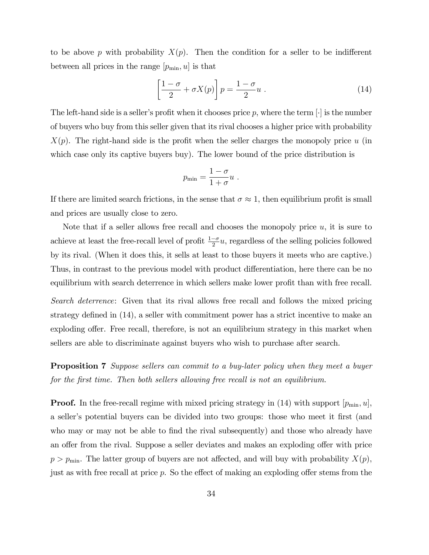to be above p with probability  $X(p)$ . Then the condition for a seller to be indifferent between all prices in the range  $[p_{\min}, u]$  is that

$$
\left[\frac{1-\sigma}{2} + \sigma X(p)\right] p = \frac{1-\sigma}{2} u . \tag{14}
$$

The left-hand side is a seller's profit when it chooses price p, where the term  $|\cdot|$  is the number of buyers who buy from this seller given that its rival chooses a higher price with probability  $X(p)$ . The right-hand side is the profit when the seller charges the monopoly price u (in which case only its captive buyers buy). The lower bound of the price distribution is

$$
p_{\min} = \frac{1-\sigma}{1+\sigma}u \ .
$$

If there are limited search frictions, in the sense that  $\sigma \approx 1$ , then equilibrium profit is small and prices are usually close to zero.

Note that if a seller allows free recall and chooses the monopoly price  $u$ , it is sure to achieve at least the free-recall level of profit  $\frac{1-\sigma}{2}u$ , regardless of the selling policies followed by its rival. (When it does this, it sells at least to those buyers it meets who are captive.) Thus, in contrast to the previous model with product differentiation, here there can be no equilibrium with search deterrence in which sellers make lower profit than with free recall.

Search deterrence: Given that its rival allows free recall and follows the mixed pricing strategy defined in (14), a seller with commitment power has a strict incentive to make an exploding offer. Free recall, therefore, is not an equilibrium strategy in this market when sellers are able to discriminate against buyers who wish to purchase after search.

Proposition 7 Suppose sellers can commit to a buy-later policy when they meet a buyer for the first time. Then both sellers allowing free recall is not an equilibrium.

**Proof.** In the free-recall regime with mixed pricing strategy in (14) with support  $|p_{\min}, u|$ , a seller's potential buyers can be divided into two groups: those who meet it first (and who may or may not be able to find the rival subsequently) and those who already have an offer from the rival. Suppose a seller deviates and makes an exploding offer with price  $p > p_{\text{min}}$ . The latter group of buyers are not affected, and will buy with probability  $X(p)$ , just as with free recall at price p. So the effect of making an exploding offer stems from the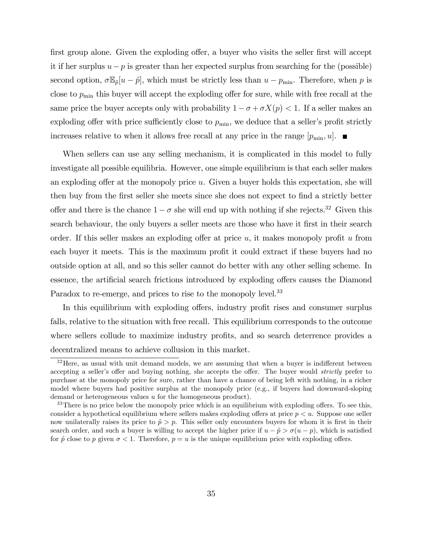first group alone. Given the exploding offer, a buyer who visits the seller first will accept it if her surplus  $u-p$  is greater than her expected surplus from searching for the (possible) second option,  $\sigma \mathbb{E}_{\tilde{p}}[u - \tilde{p}]$ , which must be strictly less than  $u - p_{\min}$ . Therefore, when p is close to  $p_{\min}$  this buyer will accept the exploding offer for sure, while with free recall at the same price the buyer accepts only with probability  $1 - \sigma + \sigma X(p) < 1$ . If a seller makes an exploding offer with price sufficiently close to  $p_{\min}$ , we deduce that a seller's profit strictly increases relative to when it allows free recall at any price in the range  $|p_{\min}, u|$ .

When sellers can use any selling mechanism, it is complicated in this model to fully investigate all possible equilibria. However, one simple equilibrium is that each seller makes an exploding offer at the monopoly price  $u$ . Given a buyer holds this expectation, she will then buy from the first seller she meets since she does not expect to find a strictly better offer and there is the chance  $1 - \sigma$  she will end up with nothing if she rejects.<sup>32</sup> Given this search behaviour, the only buyers a seller meets are those who have it first in their search order. If this seller makes an exploding offer at price  $u$ , it makes monopoly profit  $u$  from each buyer it meets. This is the maximum profit it could extract if these buyers had no outside option at all, and so this seller cannot do better with any other selling scheme. In essence, the artificial search frictions introduced by exploding offers causes the Diamond Paradox to re-emerge, and prices to rise to the monopoly level.<sup>33</sup>

In this equilibrium with exploding offers, industry profit rises and consumer surplus falls, relative to the situation with free recall. This equilibrium corresponds to the outcome where sellers collude to maximize industry profits, and so search deterrence provides a decentralized means to achieve collusion in this market.

 $32$  Here, as usual with unit demand models, we are assuming that when a buyer is indifferent between accepting a seller's offer and buying nothing, she accepts the offer. The buyer would *strictly* prefer to purchase at the monopoly price for sure, rather than have a chance of being left with nothing, in a richer model where buyers had positive surplus at the monopoly price (e.g., if buyers had downward-sloping demand or heterogeneous values u for the homogeneous product).

 $33$ There is no price below the monopoly price which is an equilibrium with exploding offers. To see this, consider a hypothetical equilibrium where sellers makes exploding offers at price  $p < u$ . Suppose one seller now unilaterally raises its price to  $\tilde{p} > p$ . This seller only encounters buyers for whom it is first in their search order, and such a buyer is willing to accept the higher price if  $u - \tilde{p} > \sigma(u - p)$ , which is satisfied for  $\tilde{p}$  close to p given  $\sigma < 1$ . Therefore,  $p = u$  is the unique equilibrium price with exploding offers.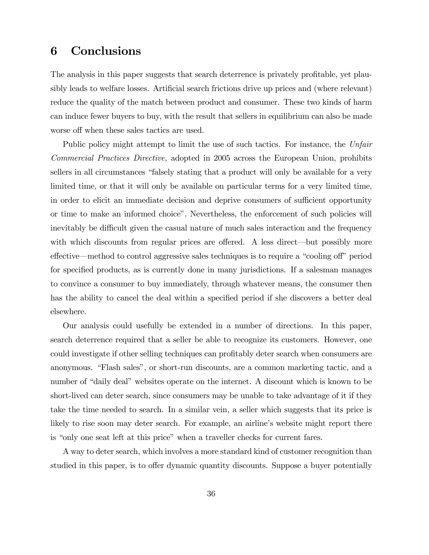# 6 Conclusions

The analysis in this paper suggests that search deterrence is privately profitable, yet plausibly leads to welfare losses. Artificial search frictions drive up prices and (where relevant) reduce the quality of the match between product and consumer. These two kinds of harm can induce fewer buyers to buy, with the result that sellers in equilibrium can also be made worse off when these sales tactics are used.

Public policy might attempt to limit the use of such tactics. For instance, the Unfair Commercial Practices Directive, adopted in 2005 across the European Union, prohibits sellers in all circumstances "falsely stating that a product will only be available for a very limited time, or that it will only be available on particular terms for a very limited time, in order to elicit an immediate decision and deprive consumers of sufficient opportunity or time to make an informed choiceî. Nevertheless, the enforcement of such policies will inevitably be difficult given the casual nature of much sales interaction and the frequency with which discounts from regular prices are offered. A less direct—but possibly more effective—method to control aggressive sales techniques is to require a "cooling off" period for specified products, as is currently done in many jurisdictions. If a salesman manages to convince a consumer to buy immediately, through whatever means, the consumer then has the ability to cancel the deal within a specified period if she discovers a better deal elsewhere.

Our analysis could usefully be extended in a number of directions. In this paper, search deterrence required that a seller be able to recognize its customers. However, one could investigate if other selling techniques can profitably deter search when consumers are anonymous. "Flash sales", or short-run discounts, are a common marketing tactic, and a number of "daily deal" websites operate on the internet. A discount which is known to be short-lived can deter search, since consumers may be unable to take advantage of it if they take the time needed to search. In a similar vein, a seller which suggests that its price is likely to rise soon may deter search. For example, an airline's website might report there is "only one seat left at this price" when a traveller checks for current fares.

A way to deter search, which involves a more standard kind of customer recognition than studied in this paper, is to offer dynamic quantity discounts. Suppose a buyer potentially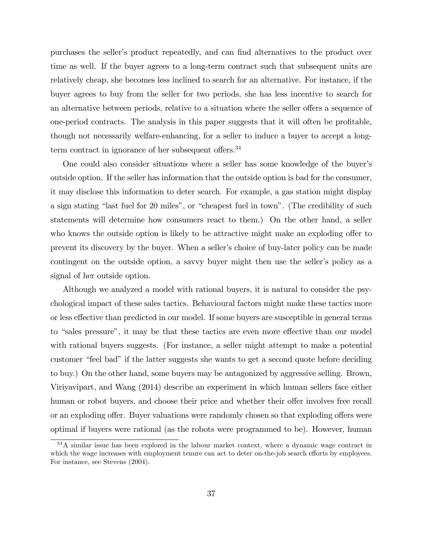purchases the seller's product repeatedly, and can find alternatives to the product over time as well. If the buyer agrees to a long-term contract such that subsequent units are relatively cheap, she becomes less inclined to search for an alternative. For instance, if the buyer agrees to buy from the seller for two periods, she has less incentive to search for an alternative between periods, relative to a situation where the seller offers a sequence of one-period contracts. The analysis in this paper suggests that it will often be profitable, though not necessarily welfare-enhancing, for a seller to induce a buyer to accept a longterm contract in ignorance of her subsequent offers. $34$ 

One could also consider situations where a seller has some knowledge of the buyerís outside option. If the seller has information that the outside option is bad for the consumer, it may disclose this information to deter search. For example, a gas station might display a sign stating "last fuel for 20 miles", or "cheapest fuel in town". (The credibility of such statements will determine how consumers react to them.) On the other hand, a seller who knows the outside option is likely to be attractive might make an exploding offer to prevent its discovery by the buyer. When a seller's choice of buy-later policy can be made contingent on the outside option, a savvy buyer might then use the seller's policy as a signal of her outside option.

Although we analyzed a model with rational buyers, it is natural to consider the psychological impact of these sales tactics. Behavioural factors might make these tactics more or less effective than predicted in our model. If some buyers are susceptible in general terms to "sales pressure", it may be that these tactics are even more effective than our model with rational buyers suggests. (For instance, a seller might attempt to make a potential customer "feel bad" if the latter suggests she wants to get a second quote before deciding to buy.) On the other hand, some buyers may be antagonized by aggressive selling. Brown, Viriyavipart, and Wang (2014) describe an experiment in which human sellers face either human or robot buyers, and choose their price and whether their offer involves free recall or an exploding offer. Buyer valuations were randomly chosen so that exploding offers were optimal if buyers were rational (as the robots were programmed to be). However, human

<sup>&</sup>lt;sup>34</sup>A similar issue has been explored in the labour market context, where a dynamic wage contract in which the wage increases with employment tenure can act to deter on-the-job search efforts by employees. For instance, see Stevens (2004).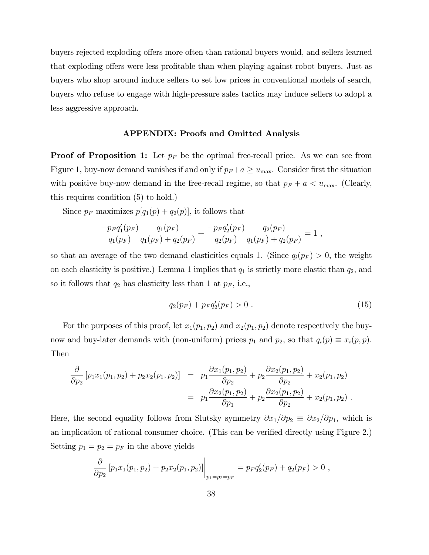buyers rejected exploding offers more often than rational buyers would, and sellers learned that exploding offers were less profitable than when playing against robot buyers. Just as buyers who shop around induce sellers to set low prices in conventional models of search, buyers who refuse to engage with high-pressure sales tactics may induce sellers to adopt a less aggressive approach.

#### APPENDIX: Proofs and Omitted Analysis

**Proof of Proposition 1:** Let  $p_F$  be the optimal free-recall price. As we can see from Figure 1, buy-now demand vanishes if and only if  $p_F + a \geq u_{\text{max}}$ . Consider first the situation with positive buy-now demand in the free-recall regime, so that  $p_F + a < u_{\text{max}}$ . (Clearly, this requires condition (5) to hold.)

Since  $p_F$  maximizes  $p[q_1(p) + q_2(p)]$ , it follows that

$$
\frac{-p_F q_1'(p_F)}{q_1(p_F)}\frac{q_1(p_F)}{q_1(p_F)+q_2(p_F)}+\frac{-p_F q_2'(p_F)}{q_2(p_F)}\frac{q_2(p_F)}{q_1(p_F)+q_2(p_F)}=1,
$$

so that an average of the two demand elasticities equals 1. (Since  $q_i(p_F) > 0$ , the weight on each elasticity is positive.) Lemma 1 implies that  $q_1$  is strictly more elastic than  $q_2$ , and so it follows that  $q_2$  has elasticity less than 1 at  $p_F$ , i.e.,

$$
q_2(p_F) + p_F q'_2(p_F) > 0.
$$
\n(15)

For the purposes of this proof, let  $x_1(p_1, p_2)$  and  $x_2(p_1, p_2)$  denote respectively the buynow and buy-later demands with (non-uniform) prices  $p_1$  and  $p_2$ , so that  $q_i(p) \equiv x_i(p, p)$ . Then

$$
\frac{\partial}{\partial p_2} [p_1 x_1 (p_1, p_2) + p_2 x_2 (p_1, p_2)] = p_1 \frac{\partial x_1 (p_1, p_2)}{\partial p_2} + p_2 \frac{\partial x_2 (p_1, p_2)}{\partial p_2} + x_2 (p_1, p_2)
$$
  
=  $p_1 \frac{\partial x_2 (p_1, p_2)}{\partial p_1} + p_2 \frac{\partial x_2 (p_1, p_2)}{\partial p_2} + x_2 (p_1, p_2).$ 

Here, the second equality follows from Slutsky symmetry  $\partial x_1/\partial p_2 \equiv \partial x_2/\partial p_1$ , which is an implication of rational consumer choice. (This can be verified directly using Figure 2.) Setting  $p_1 = p_2 = p_F$  in the above yields

$$
\frac{\partial}{\partial p_2} [p_1 x_1 (p_1, p_2) + p_2 x_2 (p_1, p_2)] \Big|_{p_1 = p_2 = p_F} = p_F q'_2(p_F) + q_2(p_F) > 0,
$$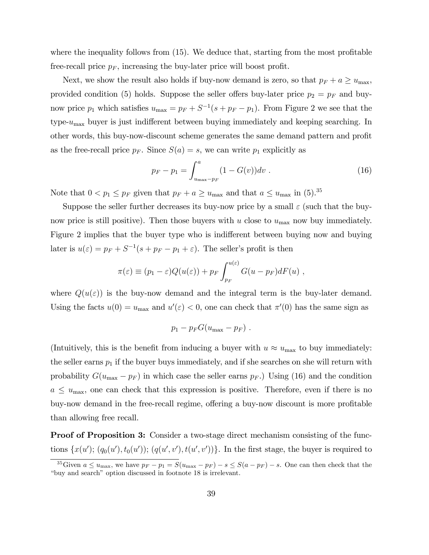where the inequality follows from  $(15)$ . We deduce that, starting from the most profitable free-recall price  $p_F$ , increasing the buy-later price will boost profit.

Next, we show the result also holds if buy-now demand is zero, so that  $p_F + a \ge u_{\text{max}}$ , provided condition (5) holds. Suppose the seller offers buy-later price  $p_2 = p_F$  and buynow price  $p_1$  which satisfies  $u_{\text{max}} = p_F + S^{-1}(s + p_F - p_1)$ . From Figure 2 we see that the type- $u_{\text{max}}$  buyer is just indifferent between buying immediately and keeping searching. In other words, this buy-now-discount scheme generates the same demand pattern and profit as the free-recall price  $p_F$ . Since  $S(a) = s$ , we can write  $p_1$  explicitly as

$$
p_F - p_1 = \int_{u_{\text{max}} - p_F}^{a} (1 - G(v)) dv . \qquad (16)
$$

Note that  $0 < p_1 \leq p_F$  given that  $p_F + a \geq u_{\text{max}}$  and that  $a \leq u_{\text{max}}$  in (5).<sup>35</sup>

Suppose the seller further decreases its buy-now price by a small  $\varepsilon$  (such that the buynow price is still positive). Then those buyers with u close to  $u_{\text{max}}$  now buy immediately. Figure 2 implies that the buyer type who is indifferent between buying now and buying later is  $u(\varepsilon) = p_F + S^{-1}(s + p_F - p_1 + \varepsilon)$ . The seller's profit is then

$$
\pi(\varepsilon) \equiv (p_1 - \varepsilon)Q(u(\varepsilon)) + p_F \int_{p_F}^{u(\varepsilon)} G(u - p_F)dF(u) ,
$$

where  $Q(u(\varepsilon))$  is the buy-now demand and the integral term is the buy-later demand. Using the facts  $u(0) = u_{\text{max}}$  and  $u'(\varepsilon) < 0$ , one can check that  $\pi'(0)$  has the same sign as

$$
p_1-p_F G(u_{\max}-p_F).
$$

(Intuitively, this is the benefit from inducing a buyer with  $u \approx u_{\text{max}}$  to buy immediately: the seller earns  $p_1$  if the buyer buys immediately, and if she searches on she will return with probability  $G(u_{\text{max}} - p_F)$  in which case the seller earns  $p_F$ .) Using (16) and the condition  $a \leq u_{\text{max}}$ , one can check that this expression is positive. Therefore, even if there is no buy-now demand in the free-recall regime, offering a buy-now discount is more profitable than allowing free recall.

Proof of Proposition 3: Consider a two-stage direct mechanism consisting of the functions  $\{x(u'); (q_0(u'), t_0(u')); (q(u', v'), t(u', v'))\}$ . In the first stage, the buyer is required to

<sup>&</sup>lt;sup>35</sup>Given  $a \le u_{\text{max}}$ , we have  $p_F - p_1 = S(u_{\text{max}} - p_F) - s \le S(a - p_F) - s$ . One can then check that the "buy and search" option discussed in footnote 18 is irrelevant.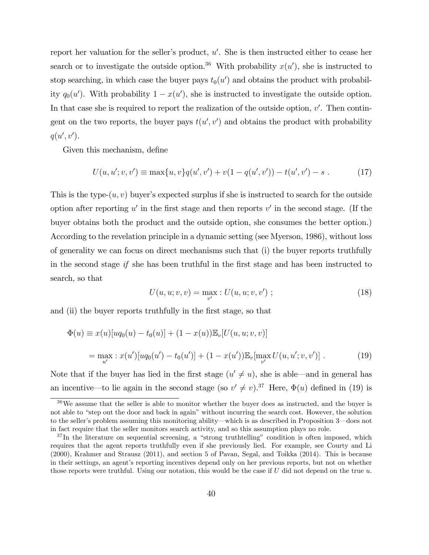report her valuation for the seller's product,  $u'$ . She is then instructed either to cease her search or to investigate the outside option.<sup>36</sup> With probability  $x(u')$ , she is instructed to stop searching, in which case the buyer pays  $t_0(u')$  and obtains the product with probability  $q_0(u')$ . With probability  $1 - x(u')$ , she is instructed to investigate the outside option. In that case she is required to report the realization of the outside option,  $v'$ . Then contingent on the two reports, the buyer pays  $t(u', v')$  and obtains the product with probability  $q(u', v').$ 

Given this mechanism, define

$$
U(u, u'; v, v') \equiv \max\{u, v\}q(u', v') + v(1 - q(u', v')) - t(u', v') - s . \tag{17}
$$

This is the type- $(u, v)$  buyer's expected surplus if she is instructed to search for the outside option after reporting  $u'$  in the first stage and then reports  $v'$  in the second stage. (If the buyer obtains both the product and the outside option, she consumes the better option.) According to the revelation principle in a dynamic setting (see Myerson, 1986), without loss of generality we can focus on direct mechanisms such that (i) the buyer reports truthfully in the second stage if she has been truthful in the first stage and has been instructed to search, so that

$$
U(u, u; v, v) = \max_{v'} : U(u, u; v, v') ; \qquad (18)
$$

and (ii) the buyer reports truthfully in the first stage, so that

$$
\Phi(u) \equiv x(u)[uq_0(u) - t_0(u)] + (1 - x(u))\mathbb{E}_v[U(u, u; v, v)]
$$
  
= 
$$
\max_{u'} : x(u')[uq_0(u') - t_0(u')] + (1 - x(u'))\mathbb{E}_v[\max_{v'} U(u, u'; v, v')] .
$$
 (19)

Note that if the buyer has lied in the first stage  $(u' \neq u)$ , she is able—and in general has an incentive—to lie again in the second stage (so  $v' \neq v$ ).<sup>37</sup> Here,  $\Phi(u)$  defined in (19) is

 $36\,\text{We assume that the seller is able to monitor whether the buyer does as instructed, and the buyer is }\frac{1}{2}\pi\text{.}$ not able to "step out the door and back in again" without incurring the search cost. However, the solution to the seller's problem assuming this monitoring ability—which is as described in Proposition 3—does not in fact require that the seller monitors search activity, and so this assumption plays no role.

 $37$ In the literature on sequential screening, a "strong truthtelling" condition is often imposed, which requires that the agent reports truthfully even if she previously lied. For example, see Courty and Li (2000), Krahmer and Strausz (2011), and section 5 of Pavan, Segal, and Toikka (2014). This is because in their settings, an agent's reporting incentives depend only on her previous reports, but not on whether those reports were truthful. Using our notation, this would be the case if  $U$  did not depend on the true  $u$ .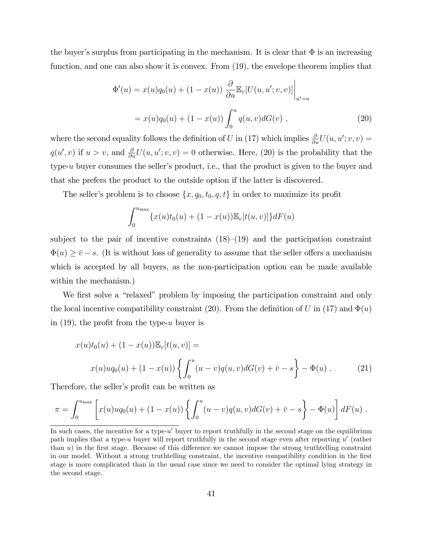the buyer's surplus from participating in the mechanism. It is clear that  $\Phi$  is an increasing function, and one can also show it is convex. From (19), the envelope theorem implies that

$$
\Phi'(u) = x(u)q_0(u) + (1 - x(u)) \frac{\partial}{\partial u} \mathbb{E}_v[U(u, u'; v, v)] \Big|_{u' = u}
$$
  
=  $x(u)q_0(u) + (1 - x(u)) \int_0^u q(u, v) dG(v)$ , (20)

where the second equality follows the definition of U in (17) which implies  $\frac{\partial}{\partial u}U(u, u'; v, v) =$  $q(u', v)$  if  $u > v$ , and  $\frac{\partial}{\partial u}U(u, u'; v, v) = 0$  otherwise. Here, (20) is the probability that the type-u buyer consumes the seller's product, i.e., that the product is given to the buyer and that she prefers the product to the outside option if the latter is discovered.

The seller's problem is to choose  $\{x, q_0, t_0, q, t\}$  in order to maximize its profit

$$
\int_0^{u_{\max}} \{x(u)t_0(u) + (1 - x(u))\mathbb{E}_v[t(u,v)]\} dF(u)
$$

subject to the pair of incentive constraints  $(18)–(19)$  and the participation constraint  $\Phi(u) \geq \bar{v} - s$ . (It is without loss of generality to assume that the seller offers a mechanism which is accepted by all buyers, as the non-participation option can be made available within the mechanism.)

We first solve a "relaxed" problem by imposing the participation constraint and only the local incentive compatibility constraint (20). From the definition of U in (17) and  $\Phi(u)$ in  $(19)$ , the profit from the type-u buyer is

$$
x(u)t_0(u) + (1 - x(u))\mathbb{E}_v[t(u, v)] =
$$
  

$$
x(u)uq_0(u) + (1 - x(u))\left\{\int_0^u (u - v)q(u, v)dG(v) + \bar{v} - s\right\} - \Phi(u).
$$
 (21)

Therefore, the seller's profit can be written as

$$
\pi = \int_0^{u_{\text{max}}} \left[ x(u)u q_0(u) + (1 - x(u)) \left\{ \int_0^u (u - v) q(u, v) dG(v) + \bar{v} - s \right\} - \Phi(u) \right] dF(u) .
$$

In such cases, the incentive for a type- $u'$  buyer to report truthfully in the second stage on the equilibrium path implies that a type-u buyer will report truthfully in the second stage even after reporting  $u'$  (rather than  $u$ ) in the first stage. Because of this difference we cannot impose the strong truthtelling constraint in our model. Without a strong truthtelling constraint, the incentive compatibility condition in the first stage is more complicated than in the usual case since we need to consider the optimal lying strategy in the second stage.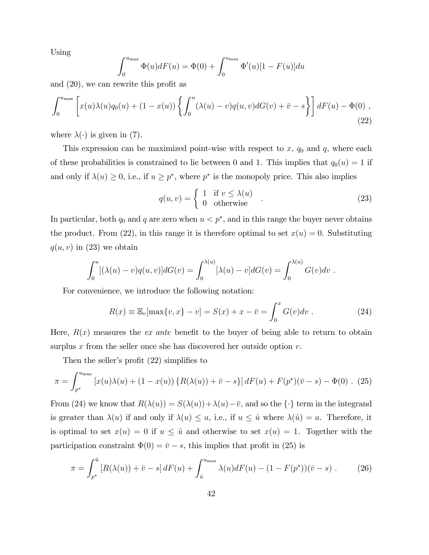Using

$$
\int_0^{u_{\max}} \Phi(u) dF(u) = \Phi(0) + \int_0^{u_{\max}} \Phi'(u) [1 - F(u)] du
$$

and  $(20)$ , we can rewrite this profit as

$$
\int_0^{u_{\max}} \left[ x(u)\lambda(u)q_0(u) + (1-x(u))\left\{ \int_0^u (\lambda(u)-v)q(u,v)dG(v) + \bar{v} - s \right\} \right] dF(u) - \Phi(0) , \tag{22}
$$

where  $\lambda(\cdot)$  is given in (7).

This expression can be maximized point-wise with respect to  $x, q_0$  and  $q$ , where each of these probabilities is constrained to lie between 0 and 1. This implies that  $q_0(u) = 1$  if and only if  $\lambda(u) \geq 0$ , i.e., if  $u \geq p^*$ , where  $p^*$  is the monopoly price. This also implies

$$
q(u,v) = \begin{cases} 1 & \text{if } v \le \lambda(u) \\ 0 & \text{otherwise} \end{cases} . \tag{23}
$$

In particular, both  $q_0$  and q are zero when  $u < p^*$ , and in this range the buyer never obtains the product. From (22), in this range it is therefore optimal to set  $x(u) = 0$ . Substituting  $q(u, v)$  in (23) we obtain

$$
\int_0^u [(\lambda(u)-v)q(u,v)]dG(v) = \int_0^{\lambda(u)} [\lambda(u)-v]dG(v) = \int_0^{\lambda(u)} G(v)dv.
$$

For convenience, we introduce the following notation:

$$
R(x) \equiv \mathbb{E}_v[\max\{v, x\} - v] = S(x) + x - \bar{v} = \int_0^x G(v)dv.
$$
 (24)

Here,  $R(x)$  measures the *ex ante* benefit to the buyer of being able to return to obtain surplus  $x$  from the seller once she has discovered her outside option  $v$ .

Then the seller's profit  $(22)$  simplifies to

$$
\pi = \int_{p^*}^{u_{\text{max}}} \left[ x(u)\lambda(u) + (1 - x(u)) \left\{ R(\lambda(u)) + \bar{v} - s \right\} \right] dF(u) + F(p^*)(\bar{v} - s) - \Phi(0) \quad (25)
$$

From (24) we know that  $R(\lambda(u)) = S(\lambda(u)) + \lambda(u) - \overline{v}$ , and so the  $\{\cdot\}$  term in the integrand is greater than  $\lambda(u)$  if and only if  $\lambda(u) \leq a$ , i.e., if  $u \leq \hat{u}$  where  $\lambda(\hat{u}) = a$ . Therefore, it is optimal to set  $x(u) = 0$  if  $u \leq \hat{u}$  and otherwise to set  $x(u) = 1$ . Together with the participation constraint  $\Phi(0) = \bar{v} - s$ , this implies that profit in (25) is

$$
\pi = \int_{p^*}^{\hat{u}} \left[ R(\lambda(u)) + \bar{v} - s \right] dF(u) + \int_{\hat{u}}^{u_{\text{max}}} \lambda(u) dF(u) - (1 - F(p^*)) (\bar{v} - s) \,. \tag{26}
$$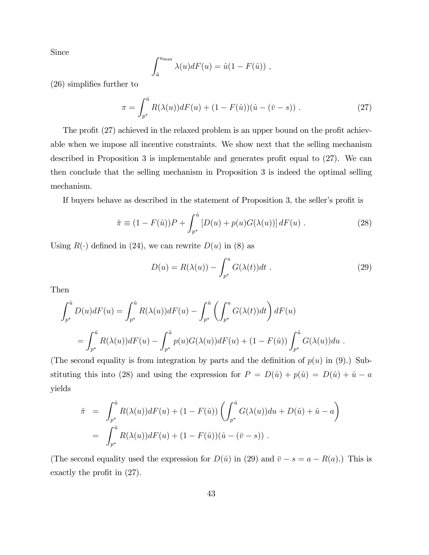Since

$$
\int_{\hat{u}}^{u_{\max}} \lambda(u) dF(u) = \hat{u}(1 - F(\hat{u})),
$$

 $(26)$  simplifies further to

$$
\pi = \int_{p^*}^{\hat{u}} R(\lambda(u)) dF(u) + (1 - F(\hat{u})) (\hat{u} - (\bar{v} - s)) . \tag{27}
$$

The profit (27) achieved in the relaxed problem is an upper bound on the profit achievable when we impose all incentive constraints. We show next that the selling mechanism described in Proposition 3 is implementable and generates profit equal to  $(27)$ . We can then conclude that the selling mechanism in Proposition 3 is indeed the optimal selling mechanism.

If buyers behave as described in the statement of Proposition 3, the seller's profit is

$$
\hat{\pi} \equiv (1 - F(\hat{u}))P + \int_{p^*}^{\hat{u}} [D(u) + p(u)G(\lambda(u))] dF(u) . \tag{28}
$$

Using  $R(\cdot)$  defined in (24), we can rewrite  $D(u)$  in (8) as

$$
D(u) = R(\lambda(u)) - \int_{p^*}^u G(\lambda(t))dt .
$$
 (29)

Then

$$
\int_{p^*}^{\hat{u}} D(u) dF(u) = \int_{p^*}^{\hat{u}} R(\lambda(u)) dF(u) - \int_{p^*}^{\hat{u}} \left( \int_{p^*}^u G(\lambda(t)) dt \right) dF(u)
$$
  
= 
$$
\int_{p^*}^{\hat{u}} R(\lambda(u)) dF(u) - \int_{p^*}^{\hat{u}} p(u) G(\lambda(u)) dF(u) + (1 - F(\hat{u})) \int_{p^*}^{\hat{u}} G(\lambda(u)) du.
$$

(The second equality is from integration by parts and the definition of  $p(u)$  in (9).) Substituting this into (28) and using the expression for  $P = D(\hat{u}) + p(\hat{u}) = D(\hat{u}) + \hat{u} - a$ yields

$$
\hat{\pi} = \int_{p^*}^{\hat{u}} R(\lambda(u)) dF(u) + (1 - F(\hat{u})) \left( \int_{p^*}^{\hat{u}} G(\lambda(u)) du + D(\hat{u}) + \hat{u} - a \right)
$$
  
= 
$$
\int_{p^*}^{\hat{u}} R(\lambda(u)) dF(u) + (1 - F(\hat{u})) (\hat{u} - (\bar{v} - s)).
$$

(The second equality used the expression for  $D(\hat{u})$  in (29) and  $\bar{v} - s = a - R(a)$ .) This is exactly the profit in  $(27)$ .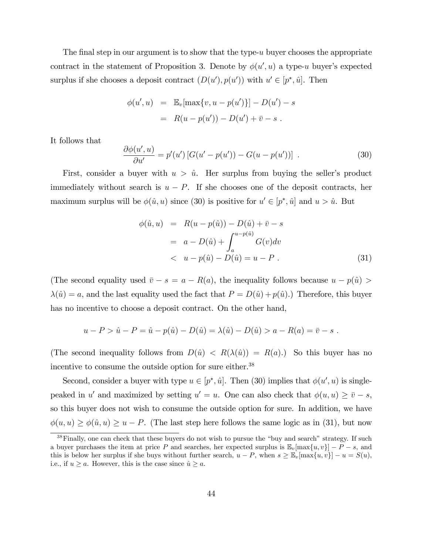The final step in our argument is to show that the type- $u$  buyer chooses the appropriate contract in the statement of Proposition 3. Denote by  $\phi(u', u)$  a type-u buyer's expected surplus if she chooses a deposit contract  $(D(u'), p(u'))$  with  $u' \in [p^*, \hat{u}]$ . Then

$$
\phi(u', u) = \mathbb{E}_v[\max\{v, u - p(u')\}] - D(u') - s
$$
  
=  $R(u - p(u')) - D(u') + \bar{v} - s$ .

It follows that

$$
\frac{\partial \phi(u',u)}{\partial u'} = p'(u') \left[ G(u'-p(u')) - G(u-p(u')) \right] \tag{30}
$$

First, consider a buyer with  $u > \hat{u}$ . Her surplus from buying the seller's product immediately without search is  $u - P$ . If she chooses one of the deposit contracts, her maximum surplus will be  $\phi(\hat{u}, u)$  since (30) is positive for  $u' \in [p^*, \hat{u}]$  and  $u > \hat{u}$ . But

$$
\phi(\hat{u}, u) = R(u - p(\hat{u})) - D(\hat{u}) + \bar{v} - s \n= a - D(\hat{u}) + \int_{a}^{u - p(\hat{u})} G(v) dv \n< u - p(\hat{u}) - D(\hat{u}) = u - P .
$$
\n(31)

(The second equality used  $\bar{v} - s = a - R(a)$ , the inequality follows because  $u - p(\hat{u}) >$  $\lambda(\hat{u}) = a$ , and the last equality used the fact that  $P = D(\hat{u}) + p(\hat{u})$ .) Therefore, this buyer has no incentive to choose a deposit contract. On the other hand,

$$
u - P > \hat{u} - P = \hat{u} - p(\hat{u}) - D(\hat{u}) = \lambda(\hat{u}) - D(\hat{u}) > a - R(a) = \bar{v} - s
$$
.

(The second inequality follows from  $D(\hat{u}) < R(\lambda(\hat{u})) = R(a)$ .) So this buyer has no incentive to consume the outside option for sure either.<sup>38</sup>

Second, consider a buyer with type  $u \in [p^*, \hat{u}]$ . Then (30) implies that  $\phi(u', u)$  is singlepeaked in u' and maximized by setting  $u' = u$ . One can also check that  $\phi(u, u) \ge \overline{v} - s$ , so this buyer does not wish to consume the outside option for sure. In addition, we have  $\phi(u, u) \ge \phi(\hat{u}, u) \ge u - P$ . (The last step here follows the same logic as in (31), but now

 $38$  Finally, one can check that these buyers do not wish to pursue the "buy and search" strategy. If such a buyer purchases the item at price P and searches, her expected surplus is  $\mathbb{E}_v[\max\{u, v\}] - P - s$ , and this is below her surplus if she buys without further search,  $u - P$ , when  $s \geq \mathbb{E}_v[\max\{u, v\}] - u = S(u)$ , i.e., if  $u \ge a$ . However, this is the case since  $\hat{u} \ge a$ .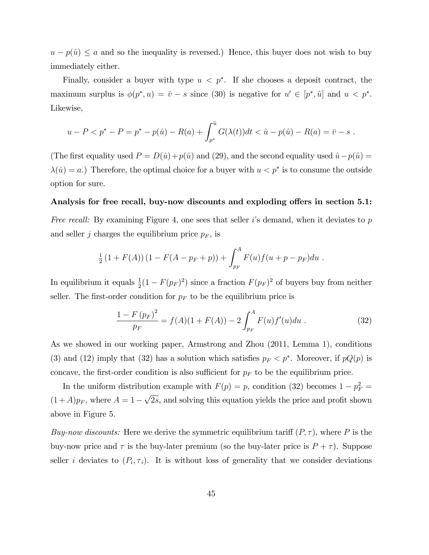$u - p(\hat{u}) \le a$  and so the inequality is reversed.) Hence, this buyer does not wish to buy immediately either.

Finally, consider a buyer with type  $u < p^*$ . If she chooses a deposit contract, the maximum surplus is  $\phi(p^*, u) = \overline{v} - s$  since (30) is negative for  $u' \in [p^*, \hat{u}]$  and  $u < p^*$ . Likewise,

$$
u - P < p^* - P = p^* - p(\hat{u}) - R(a) + \int_{p^*}^{\hat{u}} G(\lambda(t))dt < \hat{u} - p(\hat{u}) - R(a) = \bar{v} - s \; .
$$

(The first equality used  $P = D(\hat{u})+p(\hat{u})$  and (29), and the second equality used  $\hat{u}-p(\hat{u}) =$  $\lambda(\hat{u}) = a$ .) Therefore, the optimal choice for a buyer with  $u < p^*$  is to consume the outside option for sure.

### Analysis for free recall, buy-now discounts and exploding offers in section 5.1:

Free recall: By examining Figure 4, one sees that seller i's demand, when it deviates to  $p$ and seller j charges the equilibrium price  $p_F$ , is

$$
\frac{1}{2}(1+F(A))(1-F(A-p_F+p))+\int_{p_F}^A F(u)f(u+p-p_F)du.
$$

In equilibrium it equals  $\frac{1}{2}(1 - F(p_F)^2)$  since a fraction  $F(p_F)^2$  of buyers buy from neither seller. The first-order condition for  $p_F$  to be the equilibrium price is

$$
\frac{1 - F(p_F)^2}{p_F} = f(A)(1 + F(A)) - 2 \int_{p_F}^{A} F(u)f'(u)du . \tag{32}
$$

As we showed in our working paper, Armstrong and Zhou (2011, Lemma 1), conditions (3) and (12) imply that (32) has a solution which satisfies  $p_F < p^*$ . Moreover, if  $pQ(p)$  is concave, the first-order condition is also sufficient for  $p_F$  to be the equilibrium price.

In the uniform distribution example with  $F(p) = p$ , condition (32) becomes  $1 - p_F^2 =$  $(1+A)p_F$ , where  $A=1-\sqrt{2s}$ , and solving this equation yields the price and profit shown above in Figure 5.

Buy-now discounts: Here we derive the symmetric equilibrium tariff  $(P, \tau)$ , where P is the buy-now price and  $\tau$  is the buy-later premium (so the buy-later price is  $P + \tau$ ). Suppose seller *i* deviates to  $(P_i, \tau_i)$ . It is without loss of generality that we consider deviations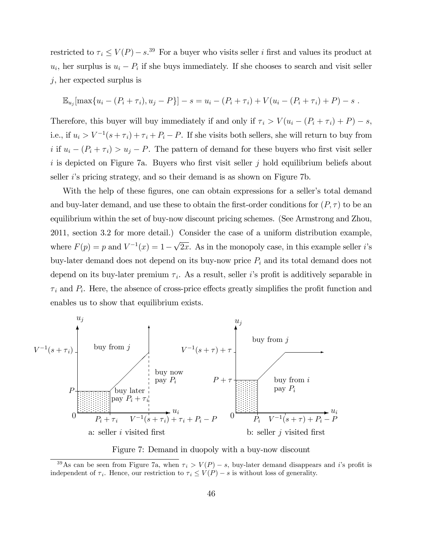restricted to  $\tau_i \le V(P) - s$ .<sup>39</sup> For a buyer who visits seller *i* first and values its product at  $u_i$ , her surplus is  $u_i - P_i$  if she buys immediately. If she chooses to search and visit seller  $j$ , her expected surplus is

$$
\mathbb{E}_{u_j}[\max\{u_i - (P_i + \tau_i), u_j - P\}] - s = u_i - (P_i + \tau_i) + V(u_i - (P_i + \tau_i) + P) - s.
$$

Therefore, this buyer will buy immediately if and only if  $\tau_i > V(u_i - (P_i + \tau_i) + P) - s$ , i.e., if  $u_i > V^{-1}(s + \tau_i) + \tau_i + P_i - P$ . If she visits both sellers, she will return to buy from i if  $u_i - (P_i + \tau_i) > u_j - P$ . The pattern of demand for these buyers who first visit seller  $i$  is depicted on Figure 7a. Buyers who first visit seller j hold equilibrium beliefs about seller *i*'s pricing strategy, and so their demand is as shown on Figure 7b.

With the help of these figures, one can obtain expressions for a seller's total demand and buy-later demand, and use these to obtain the first-order conditions for  $(P, \tau)$  to be an equilibrium within the set of buy-now discount pricing schemes. (See Armstrong and Zhou, 2011, section 3.2 for more detail.) Consider the case of a uniform distribution example, where  $F(p) = p$  and  $V^{-1}(x) = 1 - \sqrt{2x}$ . As in the monopoly case, in this example seller *i*'s buy-later demand does not depend on its buy-now price  $P_i$  and its total demand does not depend on its buy-later premium  $\tau_i$ . As a result, seller *i*'s profit is additively separable in  $\tau_i$  and  $P_i$ . Here, the absence of cross-price effects greatly simplifies the profit function and enables us to show that equilibrium exists.



Figure 7: Demand in duopoly with a buy-now discount

<sup>&</sup>lt;sup>39</sup>As can be seen from Figure 7a, when  $\tau_i > V(P) - s$ , buy-later demand disappears and *i*'s profit is independent of  $\tau_i$ . Hence, our restriction to  $\tau_i \le V(P) - s$  is without loss of generality.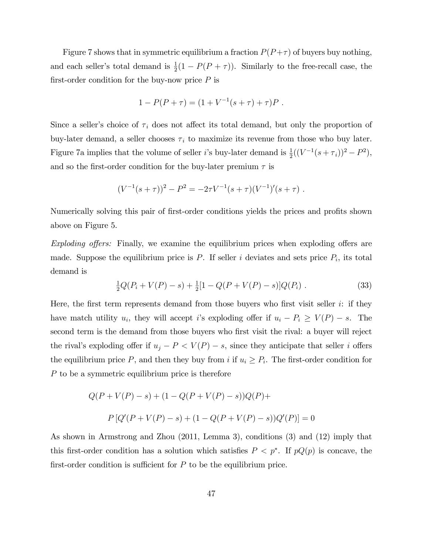Figure 7 shows that in symmetric equilibrium a fraction  $P(P+\tau)$  of buyers buy nothing, and each seller's total demand is  $\frac{1}{2}(1 - P(P + \tau))$ . Similarly to the free-recall case, the first-order condition for the buy-now price  $P$  is

$$
1 - P(P + \tau) = (1 + V^{-1}(s + \tau) + \tau)P.
$$

Since a seller's choice of  $\tau_i$  does not affect its total demand, but only the proportion of buy-later demand, a seller chooses  $\tau_i$  to maximize its revenue from those who buy later. Figure 7a implies that the volume of seller *i*'s buy-later demand is  $\frac{1}{2}((V^{-1}(s+\tau_i))^2 - P^2)$ , and so the first-order condition for the buy-later premium  $\tau$  is

$$
(V^{-1}(s+\tau))^2 - P^2 = -2\tau V^{-1}(s+\tau)(V^{-1})'(s+\tau).
$$

Numerically solving this pair of first-order conditions yields the prices and profits shown above on Figure 5.

Exploding offers: Finally, we examine the equilibrium prices when exploding offers are made. Suppose the equilibrium price is  $P$ . If seller i deviates and sets price  $P_i$ , its total demand is

$$
\frac{1}{2}Q(P_i + V(P) - s) + \frac{1}{2}[1 - Q(P + V(P) - s)]Q(P_i).
$$
 (33)

Here, the first term represents demand from those buyers who first visit seller  $i$ : if they have match utility  $u_i$ , they will accept i's exploding offer if  $u_i - P_i \ge V(P) - s$ . The second term is the demand from those buyers who first visit the rival: a buyer will reject the rival's exploding offer if  $u_j - P < V(P) - s$ , since they anticipate that seller i offers the equilibrium price  $P$ , and then they buy from i if  $u_i \geq P_i$ . The first-order condition for  $P$  to be a symmetric equilibrium price is therefore

$$
Q(P + V(P) - s) + (1 - Q(P + V(P) - s))Q(P) +
$$
  
\n
$$
P [Q'(P + V(P) - s) + (1 - Q(P + V(P) - s))Q'(P)] = 0
$$

As shown in Armstrong and Zhou (2011, Lemma 3), conditions (3) and (12) imply that this first-order condition has a solution which satisfies  $P < p^*$ . If  $pQ(p)$  is concave, the first-order condition is sufficient for  $P$  to be the equilibrium price.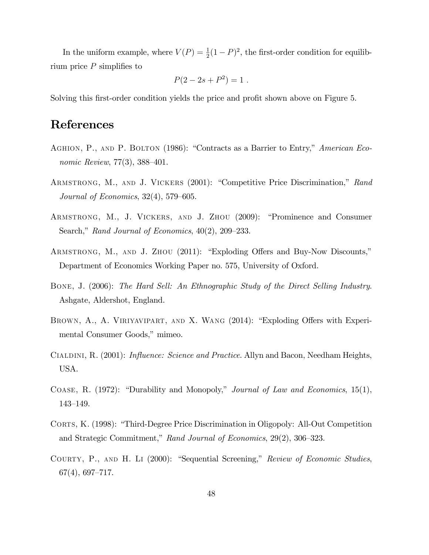In the uniform example, where  $V(P) = \frac{1}{2}(1 - P)^2$ , the first-order condition for equilibrium price  $P$  simplifies to

$$
P(2 - 2s + P^2) = 1.
$$

Solving this first-order condition yields the price and profit shown above on Figure 5.

# References

- AGHION, P., AND P. BOLTON (1986): "Contracts as a Barrier to Entry," American Economic Review,  $77(3)$ ,  $388-401$ .
- ARMSTRONG, M., AND J. VICKERS (2001): "Competitive Price Discrimination," Rand Journal of Economics,  $32(4)$ ,  $579-605$ .
- ARMSTRONG, M., J. VICKERS, AND J. ZHOU (2009): "Prominence and Consumer Search," Rand Journal of Economics,  $40(2)$ ,  $209-233$ .
- ARMSTRONG, M., AND J. ZHOU (2011): "Exploding Offers and Buy-Now Discounts," Department of Economics Working Paper no. 575, University of Oxford.
- Bone, J. (2006): The Hard Sell: An Ethnographic Study of the Direct Selling Industry. Ashgate, Aldershot, England.
- BROWN, A., A. VIRIYAVIPART, AND X. WANG (2014): "Exploding Offers with Experimental Consumer Goods," mimeo.
- CIALDINI, R. (2001): *Influence: Science and Practice*. Allyn and Bacon, Needham Heights, USA.
- COASE, R.  $(1972)$ : "Durability and Monopoly," *Journal of Law and Economics*, 15(1), 143–149.
- CORTS, K. (1998): "Third-Degree Price Discrimination in Oligopoly: All-Out Competition and Strategic Commitment," Rand Journal of Economics,  $29(2)$ ,  $306-323$ .
- COURTY, P., AND H. LI (2000): "Sequential Screening," Review of Economic Studies,  $67(4)$ , 697–717.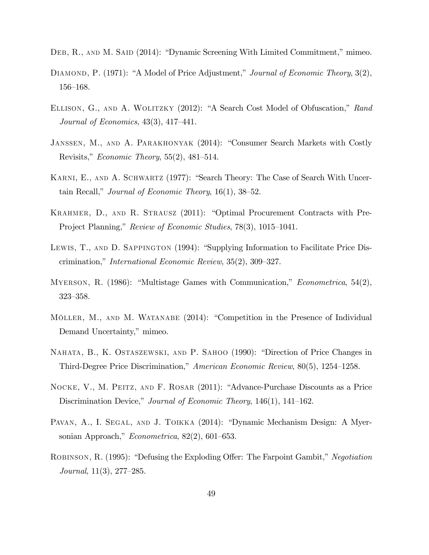- DEB, R., AND M. SAID (2014): "Dynamic Screening With Limited Commitment," mimeo.
- DIAMOND, P. (1971): "A Model of Price Adjustment," Journal of Economic Theory, 3(2),  $156 - 168.$
- ELLISON, G., AND A. WOLITZKY (2012): "A Search Cost Model of Obfuscation," Rand Journal of Economics,  $43(3)$ ,  $417-441$ .
- JANSSEN, M., AND A. PARAKHONYAK (2014): "Consumer Search Markets with Costly Revisits," *Economic Theory*,  $55(2)$ ,  $481-514$ .
- KARNI, E., AND A. SCHWARTZ (1977): "Search Theory: The Case of Search With Uncertain Recall," Journal of Economic Theory,  $16(1)$ ,  $38-52$ .
- KRAHMER, D., AND R. STRAUSZ  $(2011)$ : "Optimal Procurement Contracts with Pre-Project Planning," Review of Economic Studies, 78(3), 1015–1041.
- LEWIS, T., AND D. SAPPINGTON (1994): "Supplying Information to Facilitate Price Discrimination," *International Economic Review*,  $35(2)$ ,  $309-327$ .
- MYERSON, R.  $(1986)$ : "Multistage Games with Communication," *Econometrica*, 54(2), 323-358.
- MÖLLER, M., AND M. WATANABE (2014): "Competition in the Presence of Individual Demand Uncertainty," mimeo.
- NAHATA, B., K. OSTASZEWSKI, AND P. SAHOO (1990): "Direction of Price Changes in Third-Degree Price Discrimination," American Economic Review,  $80(5)$ , 1254–1258.
- NOCKE, V., M. PEITZ, AND F. ROSAR (2011): "Advance-Purchase Discounts as a Price Discrimination Device," Journal of Economic Theory,  $146(1)$ ,  $141-162$ .
- PAVAN, A., I. SEGAL, AND J. TOIKKA (2014): "Dynamic Mechanism Design: A Myersonian Approach," Econometrica,  $82(2)$ , 601–653.
- ROBINSON, R. (1995): "Defusing the Exploding Offer: The Farpoint Gambit," Negotiation Journal,  $11(3)$ ,  $277-285$ .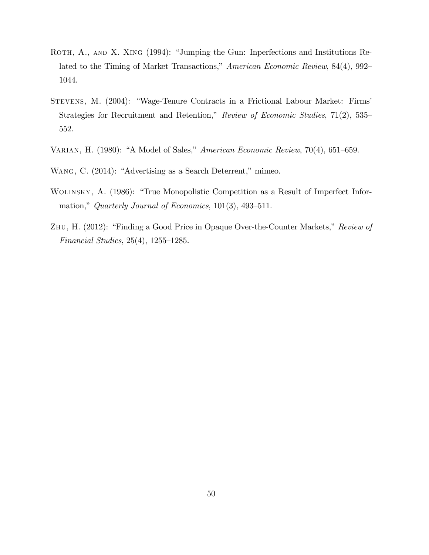- ROTH, A., AND X. XING (1994): "Jumping the Gun: Inperfections and Institutions Related to the Timing of Market Transactions," American Economic Review,  $84(4)$ ,  $992-$ 1044.
- STEVENS, M. (2004): "Wage-Tenure Contracts in a Frictional Labour Market: Firms' Strategies for Recruitment and Retention," Review of Economic Studies, 71(2), 535– 552.
- VARIAN, H. (1980): "A Model of Sales," American Economic Review, 70(4), 651-659.
- WANG, C. (2014): "Advertising as a Search Deterrent," mimeo.
- WOLINSKY, A. (1986): "True Monopolistic Competition as a Result of Imperfect Information," Quarterly Journal of Economics,  $101(3)$ ,  $493-511$ .
- ZHU, H. (2012): "Finding a Good Price in Opaque Over-the-Counter Markets," Review of Financial Studies,  $25(4)$ ,  $1255-1285$ .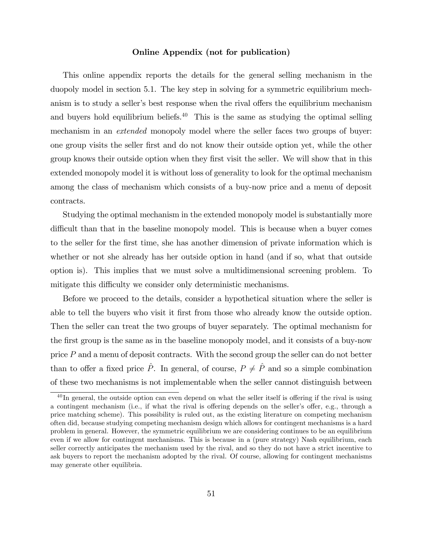### Online Appendix (not for publication)

This online appendix reports the details for the general selling mechanism in the duopoly model in section 5.1. The key step in solving for a symmetric equilibrium mechanism is to study a seller's best response when the rival offers the equilibrium mechanism and buyers hold equilibrium beliefs.<sup>40</sup> This is the same as studying the optimal selling mechanism in an extended monopoly model where the seller faces two groups of buyer: one group visits the seller Örst and do not know their outside option yet, while the other group knows their outside option when they first visit the seller. We will show that in this extended monopoly model it is without loss of generality to look for the optimal mechanism among the class of mechanism which consists of a buy-now price and a menu of deposit contracts.

Studying the optimal mechanism in the extended monopoly model is substantially more difficult than that in the baseline monopoly model. This is because when a buyer comes to the seller for the first time, she has another dimension of private information which is whether or not she already has her outside option in hand (and if so, what that outside option is). This implies that we must solve a multidimensional screening problem. To mitigate this difficulty we consider only deterministic mechanisms.

Before we proceed to the details, consider a hypothetical situation where the seller is able to tell the buyers who visit it first from those who already know the outside option. Then the seller can treat the two groups of buyer separately. The optimal mechanism for the first group is the same as in the baseline monopoly model, and it consists of a buy-now price  $P$  and a menu of deposit contracts. With the second group the seller can do not better than to offer a fixed price  $\hat{P}$ . In general, of course,  $P \neq \hat{P}$  and so a simple combination of these two mechanisms is not implementable when the seller cannot distinguish between

 $^{40}$ In general, the outside option can even depend on what the seller itself is offering if the rival is using a contingent mechanism (i.e., if what the rival is offering depends on the seller's offer, e.g., through a price matching scheme). This possibility is ruled out, as the existing literature on competing mechanism often did, because studying competing mechanism design which allows for contingent mechanisms is a hard problem in general. However, the symmetric equilibrium we are considering continues to be an equilibrium even if we allow for contingent mechanisms. This is because in a (pure strategy) Nash equilibrium, each seller correctly anticipates the mechanism used by the rival, and so they do not have a strict incentive to ask buyers to report the mechanism adopted by the rival. Of course, allowing for contingent mechanisms may generate other equilibria.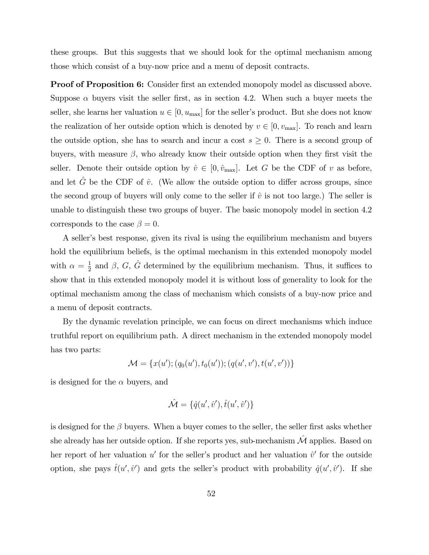these groups. But this suggests that we should look for the optimal mechanism among those which consist of a buy-now price and a menu of deposit contracts.

**Proof of Proposition 6:** Consider first an extended monopoly model as discussed above. Suppose  $\alpha$  buyers visit the seller first, as in section 4.2. When such a buyer meets the seller, she learns her valuation  $u \in [0, u_{\text{max}}]$  for the seller's product. But she does not know the realization of her outside option which is denoted by  $v \in [0, v_{\text{max}}]$ . To reach and learn the outside option, she has to search and incur a cost  $s \geq 0$ . There is a second group of buyers, with measure  $\beta$ , who already know their outside option when they first visit the seller. Denote their outside option by  $\hat{v} \in [0, \hat{v}_{\text{max}}]$ . Let G be the CDF of v as before, and let  $\hat{G}$  be the CDF of  $\hat{v}$ . (We allow the outside option to differ across groups, since the second group of buyers will only come to the seller if  $\hat{v}$  is not too large.) The seller is unable to distinguish these two groups of buyer. The basic monopoly model in section 4.2 corresponds to the case  $\beta = 0$ .

A seller's best response, given its rival is using the equilibrium mechanism and buyers hold the equilibrium beliefs, is the optimal mechanism in this extended monopoly model with  $\alpha = \frac{1}{2}$  $\frac{1}{2}$  and  $\beta$ ,  $G$ ,  $\hat{G}$  determined by the equilibrium mechanism. Thus, it suffices to show that in this extended monopoly model it is without loss of generality to look for the optimal mechanism among the class of mechanism which consists of a buy-now price and a menu of deposit contracts.

By the dynamic revelation principle, we can focus on direct mechanisms which induce truthful report on equilibrium path. A direct mechanism in the extended monopoly model has two parts:

$$
\mathcal{M} = \{x(u'); (q_0(u'), t_0(u')), (q(u', v'), t(u', v'))\}
$$

is designed for the  $\alpha$  buyers, and

$$
\hat{\mathcal{M}} = \{\hat{q}(u',\hat{v}'),\hat{t}(u',\hat{v}')\}
$$

is designed for the  $\beta$  buyers. When a buyer comes to the seller, the seller first asks whether she already has her outside option. If she reports yes, sub-mechanism  $\hat{\mathcal{M}}$  applies. Based on her report of her valuation  $u'$  for the seller's product and her valuation  $\hat{v}'$  for the outside option, she pays  $\hat{t}(u', \hat{v}')$  and gets the seller's product with probability  $\hat{q}(u', \hat{v}')$ . If she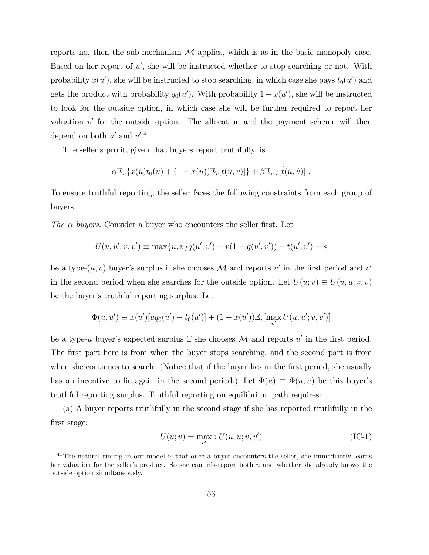reports no, then the sub-mechanism  $\mathcal M$  applies, which is as in the basic monopoly case. Based on her report of  $u'$ , she will be instructed whether to stop searching or not. With probability  $x(u')$ , she will be instructed to stop searching, in which case she pays  $t_0(u')$  and gets the product with probability  $q_0(u')$ . With probability  $1 - x(u')$ , she will be instructed to look for the outside option, in which case she will be further required to report her valuation  $v'$  for the outside option. The allocation and the payment scheme will then depend on both  $u'$  and  $v'$ .<sup>41</sup>

The seller's profit, given that buyers report truthfully, is

$$
\alpha \mathbb{E}_u\{x(u)t_0(u) + (1-x(u))\mathbb{E}_v[t(u,v)]\} + \beta \mathbb{E}_{u,\hat{v}}[\hat{t}(u,\hat{v})].
$$

To ensure truthful reporting, the seller faces the following constraints from each group of buyers.

The  $\alpha$  buyers. Consider a buyer who encounters the seller first. Let

$$
U(u, u'; v, v') \equiv \max\{u, v\}q(u', v') + v(1 - q(u', v')) - t(u', v') - s
$$

be a type- $(u, v)$  buyer's surplus if she chooses  $\mathcal M$  and reports  $u'$  in the first period and  $v'$ in the second period when she searches for the outside option. Let  $U(u; v) \equiv U(u, u; v, v)$ be the buyer's truthful reporting surplus. Let

$$
\Phi(u, u') \equiv x(u')[u q_0(u') - t_0(u')] + (1 - x(u')) \mathbb{E}_v[\max_{v'} U(u, u'; v, v')]
$$

be a type-u buyer's expected surplus if she chooses  $\mathcal M$  and reports u' in the first period. The first part here is from when the buyer stops searching, and the second part is from when she continues to search. (Notice that if the buyer lies in the first period, she usually has an incentive to lie again in the second period.) Let  $\Phi(u) \equiv \Phi(u, u)$  be this buyer's truthful reporting surplus. Truthful reporting on equilibrium path requires:

(a) A buyer reports truthfully in the second stage if she has reported truthfully in the Örst stage:

$$
U(u; v) = \max_{v'} : U(u, u; v, v') \tag{IC-1}
$$

<sup>&</sup>lt;sup>41</sup>The natural timing in our model is that once a buyer encounters the seller, she immediately learns her valuation for the seller's product. So she can mis-report both  $u$  and whether she already knows the outside option simultaneously.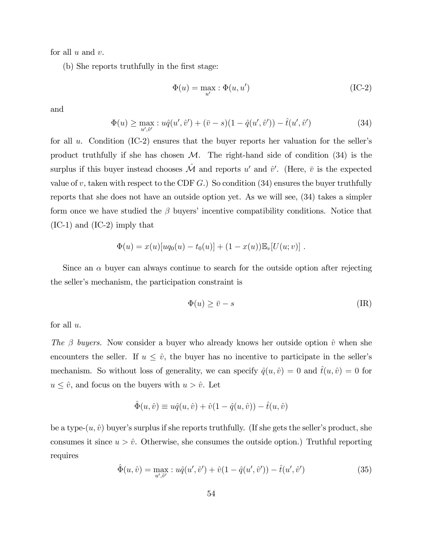for all  $u$  and  $v$ .

(b) She reports truthfully in the first stage:

$$
\Phi(u) = \max_{u'} : \Phi(u, u') \tag{IC-2}
$$

and

$$
\Phi(u) \ge \max_{u',\hat{v}'} : u\hat{q}(u',\hat{v}') + (\bar{v} - s)(1 - \hat{q}(u',\hat{v}')) - \hat{t}(u',\hat{v}') \tag{34}
$$

for all  $u$ . Condition (IC-2) ensures that the buyer reports her valuation for the seller's product truthfully if she has chosen  $M$ . The right-hand side of condition  $(34)$  is the surplus if this buyer instead chooses  $\hat{\mathcal{M}}$  and reports u' and  $\hat{v}'$ . (Here,  $\bar{v}$  is the expected value of v, taken with respect to the CDF  $G$ .) So condition (34) ensures the buyer truthfully reports that she does not have an outside option yet. As we will see, (34) takes a simpler form once we have studied the  $\beta$  buyers' incentive compatibility conditions. Notice that (IC-1) and (IC-2) imply that

$$
\Phi(u) = x(u)[uq_0(u) - t_0(u)] + (1 - x(u))\mathbb{E}_v[U(u; v)].
$$

Since an  $\alpha$  buyer can always continue to search for the outside option after rejecting the seller's mechanism, the participation constraint is

$$
\Phi(u) \ge \bar{v} - s \tag{IR}
$$

for all  $u$ .

The  $\beta$  buyers. Now consider a buyer who already knows her outside option  $\hat{v}$  when she encounters the seller. If  $u \leq \hat{v}$ , the buyer has no incentive to participate in the seller's mechanism. So without loss of generality, we can specify  $\hat{q}(u, \hat{v}) = 0$  and  $\hat{t}(u, \hat{v}) = 0$  for  $u \leq \hat{v}$ , and focus on the buyers with  $u > \hat{v}$ . Let

$$
\hat{\Phi}(u,\hat{v}) \equiv u\hat{q}(u,\hat{v}) + \hat{v}(1 - \hat{q}(u,\hat{v})) - \hat{t}(u,\hat{v})
$$

be a type- $(u, \hat{v})$  buyer's surplus if she reports truthfully. (If she gets the seller's product, she consumes it since  $u > \hat{v}$ . Otherwise, she consumes the outside option.) Truthful reporting requires

$$
\hat{\Phi}(u,\hat{v}) = \max_{u',\hat{v}'} \, : u\hat{q}(u',\hat{v}') + \hat{v}(1 - \hat{q}(u',\hat{v}')) - \hat{t}(u',\hat{v}') \tag{35}
$$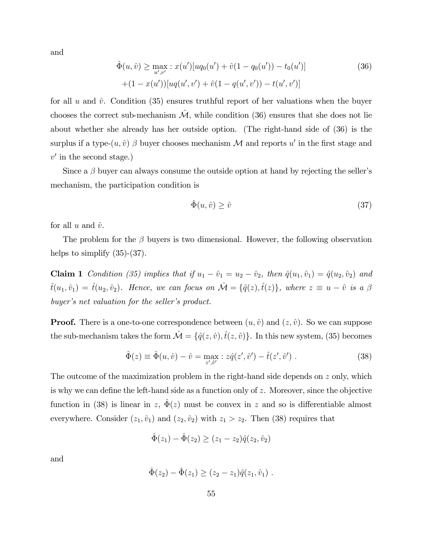and

$$
\hat{\Phi}(u,\hat{v}) \ge \max_{u',v'} \, : \, x(u')[u q_0(u') + \hat{v}(1 - q_0(u')) - t_0(u')]
$$
\n
$$
+ (1 - x(u'))[u q(u',v') + \hat{v}(1 - q(u',v')) - t(u',v')]
$$
\n
$$
(36)
$$

for all u and  $\hat{v}$ . Condition (35) ensures truthful report of her valuations when the buyer chooses the correct sub-mechanism  $\hat{\mathcal{M}}$ , while condition (36) ensures that she does not lie about whether she already has her outside option. (The right-hand side of (36) is the surplus if a type- $(u, \hat{v})$   $\beta$  buyer chooses mechanism  $\mathcal M$  and reports  $u'$  in the first stage and  $v'$  in the second stage.)

Since a  $\beta$  buyer can always consume the outside option at hand by rejecting the seller's mechanism, the participation condition is

$$
\hat{\Phi}(u,\hat{v}) \ge \hat{v} \tag{37}
$$

for all u and  $\hat{v}$ .

The problem for the  $\beta$  buyers is two dimensional. However, the following observation helps to simplify  $(35)-(37)$ .

**Claim 1** Condition (35) implies that if  $u_1 - \hat{v}_1 = u_2 - \hat{v}_2$ , then  $\hat{q}(u_1, \hat{v}_1) = \hat{q}(u_2, \hat{v}_2)$  and  $t^{\hat{t}}(u_1, \hat{v}_1) = \hat{t}(u_2, \hat{v}_2)$ . Hence, we can focus on  $\hat{\mathcal{M}} = \{\hat{q}(z),\hat{t}(z)\}\$ , where  $z \equiv u - \hat{v}$  is a  $\beta$ buyer's net valuation for the seller's product.

**Proof.** There is a one-to-one correspondence between  $(u, \hat{v})$  and  $(z, \hat{v})$ . So we can suppose the sub-mechanism takes the form  $\mathcal{\hat{M}} = \{\hat{q}(z, \hat{v}), \hat{t}(z, \hat{v})\}$ . In this new system, (35) becomes

$$
\hat{\Phi}(z) \equiv \hat{\Phi}(u, \hat{v}) - \hat{v} = \max_{z', \hat{v}'} z \hat{q}(z', \hat{v}') - \hat{t}(z', \hat{v}'). \tag{38}
$$

The outcome of the maximization problem in the right-hand side depends on z only, which is why we can define the left-hand side as a function only of  $z$ . Moreover, since the objective function in (38) is linear in z,  $\hat{\Phi}(z)$  must be convex in z and so is differentiable almost everywhere. Consider  $(z_1, \hat{v}_1)$  and  $(z_2, \hat{v}_2)$  with  $z_1 > z_2$ . Then (38) requires that

$$
\hat{\Phi}(z_1) - \hat{\Phi}(z_2) \ge (z_1 - z_2)\hat{q}(z_2, \hat{v}_2)
$$

and

$$
\hat{\Phi}(z_2) - \hat{\Phi}(z_1) \ge (z_2 - z_1)\hat{q}(z_1, \hat{v}_1) .
$$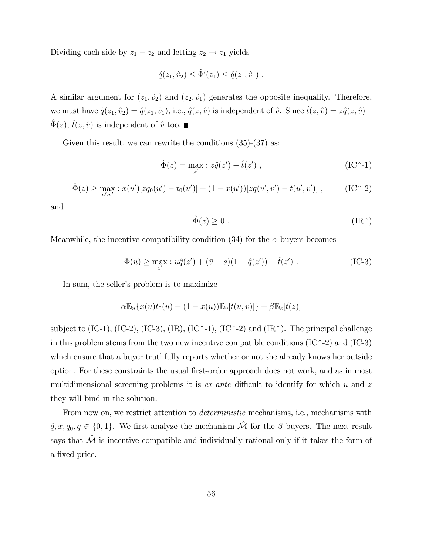Dividing each side by  $z_1 - z_2$  and letting  $z_2 \rightarrow z_1$  yields

$$
\hat{q}(z_1, \hat{v}_2) \leq \hat{\Phi}'(z_1) \leq \hat{q}(z_1, \hat{v}_1) .
$$

A similar argument for  $(z_1, \hat{v}_2)$  and  $(z_2, \hat{v}_1)$  generates the opposite inequality. Therefore, we must have  $\hat{q}(z_1, \hat{v}_2) = \hat{q}(z_1, \hat{v}_1)$ , i.e.,  $\hat{q}(z, \hat{v})$  is independent of  $\hat{v}$ . Since  $\hat{t}(z, \hat{v}) = z\hat{q}(z, \hat{v})$  $\hat{\Phi}(z), \hat{t}(z, \hat{v})$  is independent of  $\hat{v}$  too.

Given this result, we can rewrite the conditions  $(35)-(37)$  as:

$$
\hat{\Phi}(z) = \max_{z'} : z\hat{q}(z') - \hat{t}(z') , \qquad (\text{IC}^{\sim} - 1)
$$

$$
\hat{\Phi}(z) \ge \max_{u',v'} : x(u')[zq_0(u') - t_0(u')] + (1 - x(u'))[zq(u',v') - t(u',v')] , \qquad (IC^{\sim-2})
$$

and

$$
\hat{\Phi}(z) \ge 0 \tag{IR}^{\widehat{\Phi}} \tag{IR} \widehat{\Phi}(z) \le 0
$$

Meanwhile, the incentive compatibility condition (34) for the  $\alpha$  buyers becomes

$$
\Phi(u) \ge \max_{z'} : u\hat{q}(z') + (\bar{v} - s)(1 - \hat{q}(z')) - \hat{t}(z') .
$$
 (IC-3)

In sum, the seller's problem is to maximize

$$
\alpha \mathbb{E}_u\{x(u)t_0(u) + (1-x(u))\mathbb{E}_v[t(u,v)]\} + \beta \mathbb{E}_z[\hat{t}(z)]
$$

subject to (IC-1), (IC-2), (IC-3), (IR), (IC<sup> $\sim$ </sup>-1), (IC $\sim$ -2) and (IR $\sim$ ). The principal challenge in this problem stems from the two new incentive compatible conditions  $(IC^-2)$  and  $(IC-3)$ which ensure that a buyer truthfully reports whether or not she already knows her outside option. For these constraints the usual Örst-order approach does not work, and as in most multidimensional screening problems it is ex ante difficult to identify for which u and  $z$ they will bind in the solution.

From now on, we restrict attention to *deterministic* mechanisms, i.e., mechanisms with  $\hat{q}, x, q_0, q \in \{0, 1\}$ . We first analyze the mechanism  $\hat{\mathcal{M}}$  for the  $\beta$  buyers. The next result says that  $\hat{\mathcal{M}}$  is incentive compatible and individually rational only if it takes the form of a fixed price.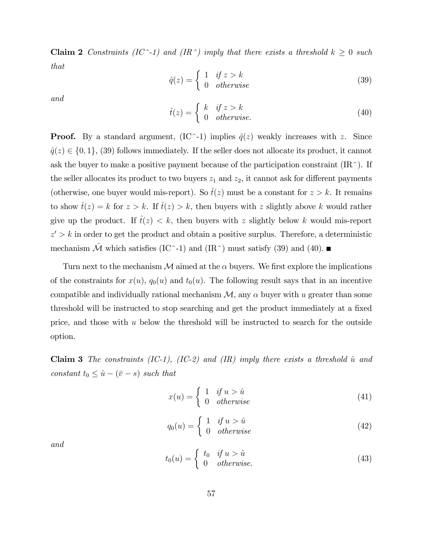Claim 2 Constraints (IC<sup> $\sim$ </sup>-1) and (IR $\sim$ ) imply that there exists a threshold k  $\geq 0$  such that

$$
\hat{q}(z) = \begin{cases} 1 & \text{if } z > k \\ 0 & \text{otherwise} \end{cases}
$$
 (39)

and

$$
\hat{t}(z) = \begin{cases} k & \text{if } z > k \\ 0 & \text{otherwise.} \end{cases}
$$
 (40)

**Proof.** By a standard argument,  $(IC^{\sim} -1)$  implies  $\hat{q}(z)$  weakly increases with z. Since  $\hat{q}(z) \in \{0, 1\},$  (39) follows immediately. If the seller does not allocate its product, it cannot ask the buyer to make a positive payment because of the participation constraint  $(\text{IR}^{\sim})$ . If the seller allocates its product to two buyers  $z_1$  and  $z_2$ , it cannot ask for different payments (otherwise, one buyer would mis-report). So  $\hat{t}(z)$  must be a constant for  $z > k$ . It remains to show  $\hat{t}(z) = k$  for  $z > k$ . If  $\hat{t}(z) > k$ , then buyers with z slightly above k would rather give up the product. If  $\hat{t}(z) < k$ , then buyers with z slightly below k would mis-report  $z' > k$  in order to get the product and obtain a positive surplus. Therefore, a deterministic mechanism  $\hat{\mathcal{M}}$  which satisfies (IC^-1) and (IR^) must satisfy (39) and (40).

Turn next to the mechanism M aimed at the  $\alpha$  buyers. We first explore the implications of the constraints for  $x(u)$ ,  $q_0(u)$  and  $t_0(u)$ . The following result says that in an incentive compatible and individually rational mechanism  $\mathcal{M}$ , any  $\alpha$  buyer with u greater than some threshold will be instructed to stop searching and get the product immediately at a fixed price, and those with  $u$  below the threshold will be instructed to search for the outside option.

**Claim 3** The constraints (IC-1), (IC-2) and (IR) imply there exists a threshold  $\hat{u}$  and constant  $t_0 \leq \hat{u} - (\bar{v} - s)$  such that

$$
x(u) = \begin{cases} 1 & \text{if } u > \hat{u} \\ 0 & \text{otherwise} \end{cases}
$$
 (41)

$$
q_0(u) = \begin{cases} 1 & if u > \hat{u} \\ 0 & otherwise \end{cases}
$$
 (42)

and

$$
t_0(u) = \begin{cases} t_0 & \text{if } u > \hat{u} \\ 0 & \text{otherwise.} \end{cases}
$$
 (43)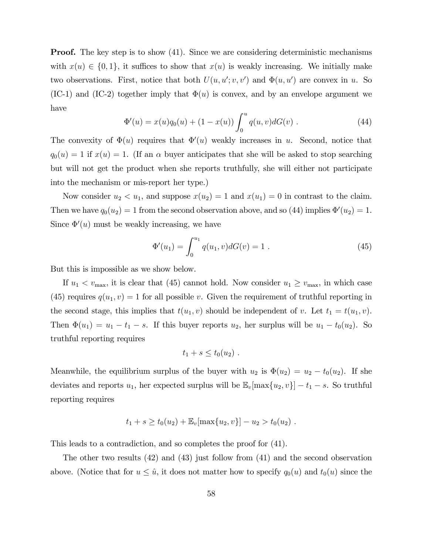**Proof.** The key step is to show (41). Since we are considering deterministic mechanisms with  $x(u) \in \{0, 1\}$ , it suffices to show that  $x(u)$  is weakly increasing. We initially make two observations. First, notice that both  $U(u, u'; v, v')$  and  $\Phi(u, u')$  are convex in u. So  $(IC-1)$  and  $(IC-2)$  together imply that  $\Phi(u)$  is convex, and by an envelope argument we have

$$
\Phi'(u) = x(u)q_0(u) + (1 - x(u)) \int_0^u q(u, v)dG(v) . \qquad (44)
$$

The convexity of  $\Phi(u)$  requires that  $\Phi'(u)$  weakly increases in u. Second, notice that  $q_0(u) = 1$  if  $x(u) = 1$ . (If an  $\alpha$  buyer anticipates that she will be asked to stop searching but will not get the product when she reports truthfully, she will either not participate into the mechanism or mis-report her type.)

Now consider  $u_2 < u_1$ , and suppose  $x(u_2) = 1$  and  $x(u_1) = 0$  in contrast to the claim. Then we have  $q_0(u_2) = 1$  from the second observation above, and so (44) implies  $\Phi'(u_2) = 1$ . Since  $\Phi'(u)$  must be weakly increasing, we have

$$
\Phi'(u_1) = \int_0^{u_1} q(u_1, v) dG(v) = 1.
$$
\n(45)

But this is impossible as we show below.

If  $u_1 < v_{\text{max}}$ , it is clear that (45) cannot hold. Now consider  $u_1 \geq v_{\text{max}}$ , in which case (45) requires  $q(u_1, v) = 1$  for all possible v. Given the requirement of truthful reporting in the second stage, this implies that  $t(u_1, v)$  should be independent of v. Let  $t_1 = t(u_1, v)$ . Then  $\Phi(u_1) = u_1 - t_1 - s$ . If this buyer reports  $u_2$ , her surplus will be  $u_1 - t_0(u_2)$ . So truthful reporting requires

$$
t_1+s\leq t_0(u_2).
$$

Meanwhile, the equilibrium surplus of the buyer with  $u_2$  is  $\Phi(u_2) = u_2 - t_0(u_2)$ . If she deviates and reports  $u_1$ , her expected surplus will be  $\mathbb{E}_v[\max\{u_2, v\}] - t_1 - s$ . So truthful reporting requires

$$
t_1 + s \ge t_0(u_2) + \mathbb{E}_v[\max\{u_2, v\}] - u_2 > t_0(u_2).
$$

This leads to a contradiction, and so completes the proof for (41).

The other two results (42) and (43) just follow from (41) and the second observation above. (Notice that for  $u \leq \hat{u}$ , it does not matter how to specify  $q_0(u)$  and  $t_0(u)$  since the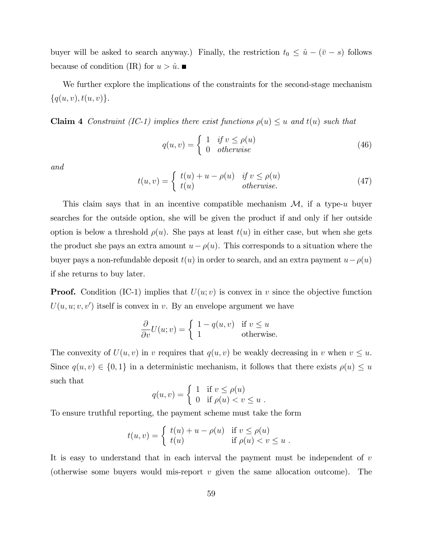buyer will be asked to search anyway.) Finally, the restriction  $t_0 \leq \hat{u} - (\bar{v} - s)$  follows because of condition (IR) for  $u > \hat{u}$ .

We further explore the implications of the constraints for the second-stage mechanism  $\{q(u, v), t(u, v)\}.$ 

**Claim 4** Constraint (IC-1) implies there exist functions  $\rho(u) \leq u$  and  $t(u)$  such that

$$
q(u,v) = \begin{cases} 1 & if v \le \rho(u) \\ 0 & otherwise \end{cases}
$$
 (46)

and

$$
t(u,v) = \begin{cases} t(u) + u - \rho(u) & \text{if } v \le \rho(u) \\ t(u) & \text{otherwise.} \end{cases}
$$
 (47)

This claim says that in an incentive compatible mechanism  $\mathcal{M}$ , if a type-u buyer searches for the outside option, she will be given the product if and only if her outside option is below a threshold  $\rho(u)$ . She pays at least  $t(u)$  in either case, but when she gets the product she pays an extra amount  $u - \rho(u)$ . This corresponds to a situation where the buyer pays a non-refundable deposit  $t(u)$  in order to search, and an extra payment  $u-\rho(u)$ if she returns to buy later.

**Proof.** Condition (IC-1) implies that  $U(u; v)$  is convex in v since the objective function  $U(u, u; v, v')$  itself is convex in v. By an envelope argument we have

$$
\frac{\partial}{\partial v}U(u;v) = \begin{cases} 1 - q(u,v) & \text{if } v \le u \\ 1 & \text{otherwise.} \end{cases}
$$

The convexity of  $U(u, v)$  in v requires that  $q(u, v)$  be weakly decreasing in v when  $v \leq u$ . Since  $q(u, v) \in \{0, 1\}$  in a deterministic mechanism, it follows that there exists  $\rho(u) \leq u$ such that

$$
q(u,v) = \begin{cases} 1 & \text{if } v \le \rho(u) \\ 0 & \text{if } \rho(u) < v \le u \end{cases}.
$$

To ensure truthful reporting, the payment scheme must take the form

$$
t(u,v) = \begin{cases} t(u) + u - \rho(u) & \text{if } v \le \rho(u) \\ t(u) & \text{if } \rho(u) < v \le u \end{cases}.
$$

It is easy to understand that in each interval the payment must be independent of v (otherwise some buyers would mis-report  $v$  given the same allocation outcome). The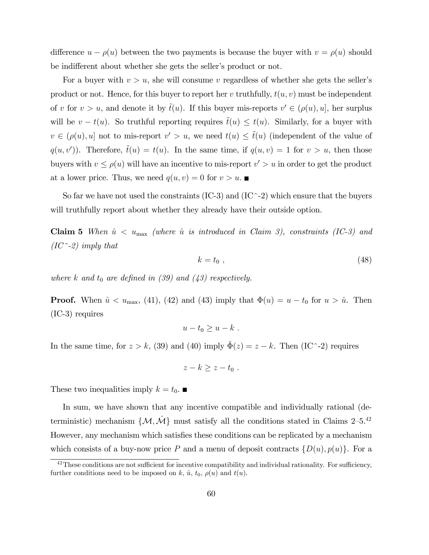difference  $u - \rho(u)$  between the two payments is because the buyer with  $v = \rho(u)$  should be indifferent about whether she gets the seller's product or not.

For a buyer with  $v > u$ , she will consume v regardless of whether she gets the seller's product or not. Hence, for this buyer to report her v truthfully,  $t(u, v)$  must be independent of v for  $v > u$ , and denote it by  $\tilde{t}(u)$ . If this buyer mis-reports  $v' \in (\rho(u), u]$ , her surplus will be  $v - t(u)$ . So truthful reporting requires  $\tilde{t}(u) \leq t(u)$ . Similarly, for a buyer with  $v \in (\rho(u), u]$  not to mis-report  $v' > u$ , we need  $t(u) \leq \tilde{t}(u)$  (independent of the value of  $q(u, v')$ ). Therefore,  $\tilde{t}(u) = t(u)$ . In the same time, if  $q(u, v) = 1$  for  $v > u$ , then those buyers with  $v \le \rho(u)$  will have an incentive to mis-report  $v' > u$  in order to get the product at a lower price. Thus, we need  $q(u, v) = 0$  for  $v > u$ .

So far we have not used the constraints  $(IC-3)$  and  $(IC-2)$  which ensure that the buyers will truthfully report about whether they already have their outside option.

Claim 5 When  $\hat{u} < u_{\text{max}}$  (where  $\hat{u}$  is introduced in Claim 3), constraints (IC-3) and  $(IC^{\sim}-2)$  imply that

$$
k = t_0 \t{,} \t(48)
$$

where k and  $t_0$  are defined in (39) and (43) respectively.

**Proof.** When  $\hat{u} < u_{\text{max}}$ , (41), (42) and (43) imply that  $\Phi(u) = u - t_0$  for  $u > \hat{u}$ . Then (IC-3) requires

$$
u-t_0\geq u-k.
$$

In the same time, for  $z > k$ , (39) and (40) imply  $\hat{\Phi}(z) = z - k$ . Then (IC<sup> $\sim$ </sup>-2) requires

$$
z-k\geq z-t_0.
$$

These two inequalities imply  $k = t_0$ .

In sum, we have shown that any incentive compatible and individually rational (deterministic) mechanism  $\{\mathcal{M}, \hat{\mathcal{M}}\}$  must satisfy all the conditions stated in Claims 2–5.<sup>42</sup> However, any mechanism which satisfies these conditions can be replicated by a mechanism which consists of a buy-now price P and a menu of deposit contracts  $\{D(u), p(u)\}\$ . For a

 $42$ These conditions are not sufficient for incentive compatibility and individual rationality. For sufficiency, further conditions need to be imposed on k,  $\hat{u}$ ,  $t_0$ ,  $\rho(u)$  and  $t(u)$ .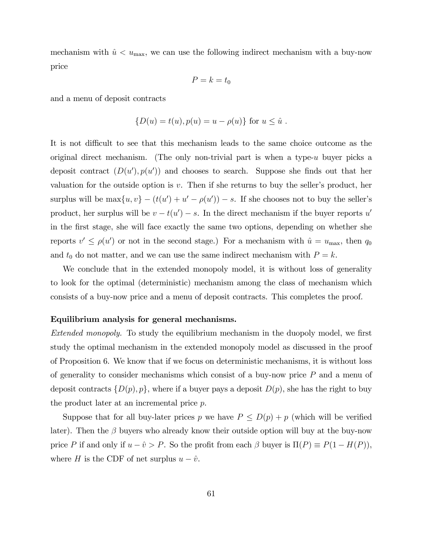mechanism with  $\hat{u} < u_{\text{max}}$ , we can use the following indirect mechanism with a buy-now price

$$
P=k=t_0
$$

and a menu of deposit contracts

$$
{D(u) = t(u), p(u) = u - \rho(u)}
$$
 for  $u \le \hat{u}$ .

It is not difficult to see that this mechanism leads to the same choice outcome as the original direct mechanism. (The only non-trivial part is when a type- $u$  buyer picks a deposit contract  $(D(u'), p(u'))$  and chooses to search. Suppose she finds out that her valuation for the outside option is  $v$ . Then if she returns to buy the seller's product, her surplus will be  $\max\{u, v\} - (t(u') + u' - \rho(u')) - s$ . If she chooses not to buy the seller's product, her surplus will be  $v - t(u') - s$ . In the direct mechanism if the buyer reports u' in the Örst stage, she will face exactly the same two options, depending on whether she reports  $v' \le \rho(u')$  or not in the second stage.) For a mechanism with  $\hat{u} = u_{\text{max}}$ , then  $q_0$ and  $t_0$  do not matter, and we can use the same indirect mechanism with  $P = k$ .

We conclude that in the extended monopoly model, it is without loss of generality to look for the optimal (deterministic) mechanism among the class of mechanism which consists of a buy-now price and a menu of deposit contracts. This completes the proof.

#### Equilibrium analysis for general mechanisms.

Extended monopoly. To study the equilibrium mechanism in the duopoly model, we first study the optimal mechanism in the extended monopoly model as discussed in the proof of Proposition 6. We know that if we focus on deterministic mechanisms, it is without loss of generality to consider mechanisms which consist of a buy-now price P and a menu of deposit contracts  $\{D(p), p\}$ , where if a buyer pays a deposit  $D(p)$ , she has the right to buy the product later at an incremental price p.

Suppose that for all buy-later prices p we have  $P \le D(p) + p$  (which will be verified later). Then the  $\beta$  buyers who already know their outside option will buy at the buy-now price P if and only if  $u - \hat{v} > P$ . So the profit from each  $\beta$  buyer is  $\Pi(P) \equiv P(1 - H(P)),$ where H is the CDF of net surplus  $u - \hat{v}$ .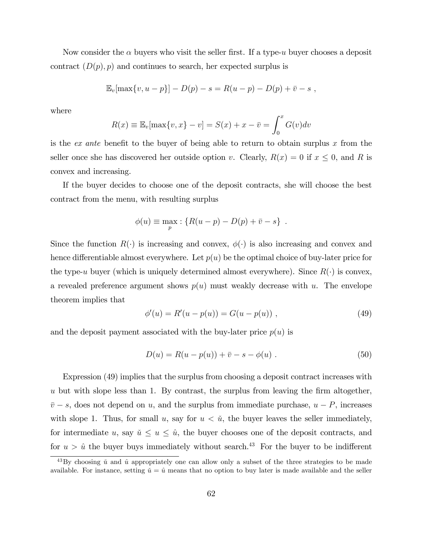Now consider the  $\alpha$  buyers who visit the seller first. If a type-u buyer chooses a deposit contract  $(D(p), p)$  and continues to search, her expected surplus is

$$
\mathbb{E}_v[\max\{v, u - p\}] - D(p) - s = R(u - p) - D(p) + \overline{v} - s,
$$

where

$$
R(x) \equiv \mathbb{E}_v[\max\{v, x\} - v] = S(x) + x - \overline{v} = \int_0^x G(v)dv
$$

is the ex ante benefit to the buyer of being able to return to obtain surplus x from the seller once she has discovered her outside option v. Clearly,  $R(x) = 0$  if  $x \le 0$ , and R is convex and increasing.

If the buyer decides to choose one of the deposit contracts, she will choose the best contract from the menu, with resulting surplus

$$
\phi(u) \equiv \max_{p} : \{ R(u-p) - D(p) + \overline{v} - s \} .
$$

Since the function  $R(\cdot)$  is increasing and convex,  $\phi(\cdot)$  is also increasing and convex and hence differentiable almost everywhere. Let  $p(u)$  be the optimal choice of buy-later price for the type-u buyer (which is uniquely determined almost everywhere). Since  $R(\cdot)$  is convex, a revealed preference argument shows  $p(u)$  must weakly decrease with u. The envelope theorem implies that

$$
\phi'(u) = R'(u - p(u)) = G(u - p(u)), \qquad (49)
$$

and the deposit payment associated with the buy-later price  $p(u)$  is

$$
D(u) = R(u - p(u)) + \bar{v} - s - \phi(u) . \tag{50}
$$

Expression (49) implies that the surplus from choosing a deposit contract increases with  $u$  but with slope less than 1. By contrast, the surplus from leaving the firm altogether,  $\bar{v} - s$ , does not depend on u, and the surplus from immediate purchase,  $u - P$ , increases with slope 1. Thus, for small u, say for  $u < \tilde{u}$ , the buyer leaves the seller immediately, for intermediate u, say  $\check{u} \le u \le \hat{u}$ , the buyer chooses one of the deposit contracts, and for  $u > \hat{u}$  the buyer buys immediately without search.<sup>43</sup> For the buyer to be indifferent

 $^{43}$ By choosing  $\check{u}$  and  $\hat{u}$  appropriately one can allow only a subset of the three strategies to be made available. For instance, setting  $\check{u} = \hat{u}$  means that no option to buy later is made available and the seller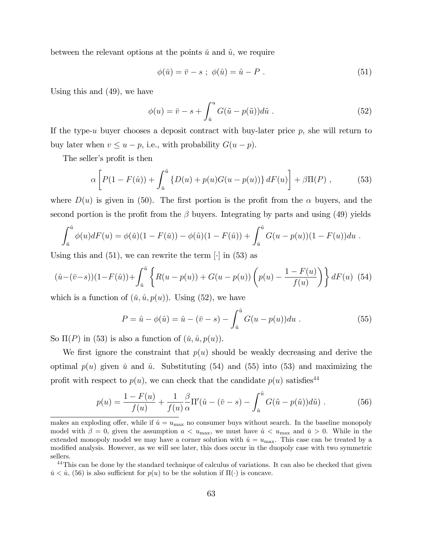between the relevant options at the points  $\check{u}$  and  $\hat{u}$ , we require

$$
\phi(\tilde{u}) = \bar{v} - s \; ; \; \phi(\hat{u}) = \hat{u} - P \; . \tag{51}
$$

Using this and (49), we have

$$
\phi(u) = \bar{v} - s + \int_{\tilde{u}}^{u} G(\tilde{u} - p(\tilde{u})) d\tilde{u} . \qquad (52)
$$

If the type-u buyer chooses a deposit contract with buy-later price  $p$ , she will return to buy later when  $v \le u - p$ , i.e., with probability  $G(u - p)$ .

The seller's profit is then

$$
\alpha \left[ P(1 - F(\hat{u})) + \int_{\hat{u}}^{\hat{u}} \left\{ D(u) + p(u)G(u - p(u)) \right\} dF(u) \right] + \beta \Pi(P) , \qquad (53)
$$

where  $D(u)$  is given in (50). The first portion is the profit from the  $\alpha$  buyers, and the second portion is the profit from the  $\beta$  buyers. Integrating by parts and using (49) yields

$$
\int_{\tilde{u}}^{\hat{u}} \phi(u) dF(u) = \phi(\tilde{u})(1 - F(\tilde{u})) - \phi(\hat{u})(1 - F(\hat{u})) + \int_{\tilde{u}}^{\hat{u}} G(u - p(u))(1 - F(u)) du.
$$

Using this and  $(51)$ , we can rewrite the term  $\lceil \cdot \rceil$  in  $(53)$  as

$$
(\hat{u} - (\bar{v} - s))(1 - F(\hat{u})) + \int_{\tilde{u}}^{\hat{u}} \left\{ R(u - p(u)) + G(u - p(u)) \left( p(u) - \frac{1 - F(u)}{f(u)} \right) \right\} dF(u) \tag{54}
$$

which is a function of  $(\tilde{u}, \hat{u}, p(u))$ . Using (52), we have

$$
P = \hat{u} - \phi(\hat{u}) = \hat{u} - (\bar{v} - s) - \int_{\tilde{u}}^{\hat{u}} G(u - p(u)) du . \tag{55}
$$

So  $\Pi(P)$  in (53) is also a function of  $(\tilde{u}, \hat{u}, p(u))$ .

We first ignore the constraint that  $p(u)$  should be weakly decreasing and derive the optimal  $p(u)$  given u and u. Substituting (54) and (55) into (53) and maximizing the profit with respect to  $p(u)$ , we can check that the candidate  $p(u)$  satisfies<sup>44</sup>

$$
p(u) = \frac{1 - F(u)}{f(u)} + \frac{1}{f(u)} \frac{\beta}{\alpha} \Pi'(\hat{u} - (\bar{v} - s) - \int_{\tilde{u}}^{\hat{u}} G(\tilde{u} - p(\tilde{u})) d\tilde{u}) . \tag{56}
$$

makes an exploding offer, while if  $\hat{u} = u_{\text{max}}$  no consumer buys without search. In the baseline monopoly model with  $\beta = 0$ , given the assumption  $a < u_{\text{max}}$ , we must have  $\hat{u} < u_{\text{max}}$  and  $\check{u} > 0$ . While in the extended monopoly model we may have a corner solution with  $\hat{u} = u_{\text{max}}$ . This case can be treated by a modified analysis. However, as we will see later, this does occur in the duopoly case with two symmetric sellers.

<sup>&</sup>lt;sup>44</sup>This can be done by the standard technique of calculus of variations. It can also be checked that given  $\tilde{u} < \hat{u}$ , (56) is also sufficient for  $p(u)$  to be the solution if  $\Pi(\cdot)$  is concave.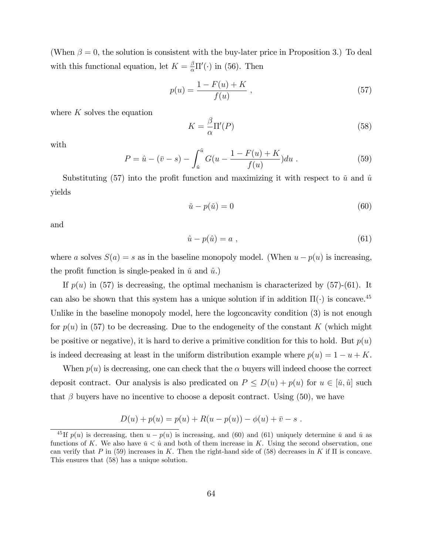(When  $\beta = 0$ , the solution is consistent with the buy-later price in Proposition 3.) To deal with this functional equation, let  $K = \frac{\beta}{\alpha} \Pi'(\cdot)$  in (56). Then

$$
p(u) = \frac{1 - F(u) + K}{f(u)} \tag{57}
$$

where  $K$  solves the equation

$$
K = \frac{\beta}{\alpha} \Pi'(P) \tag{58}
$$

with

$$
P = \hat{u} - (\bar{v} - s) - \int_{\tilde{u}}^{\hat{u}} G(u - \frac{1 - F(u) + K}{f(u)}) du.
$$
 (59)

Substituting (57) into the profit function and maximizing it with respect to  $\check{u}$  and  $\hat{u}$ yields

$$
\check{u} - p(\check{u}) = 0 \tag{60}
$$

and

$$
\hat{u} - p(\hat{u}) = a \tag{61}
$$

where a solves  $S(a) = s$  as in the baseline monopoly model. (When  $u - p(u)$  is increasing, the profit function is single-peaked in  $\check{u}$  and  $\hat{u}$ .)

If  $p(u)$  in (57) is decreasing, the optimal mechanism is characterized by (57)-(61). It can also be shown that this system has a unique solution if in addition  $\Pi(\cdot)$  is concave.<sup>45</sup> Unlike in the baseline monopoly model, here the logconcavity condition (3) is not enough for  $p(u)$  in (57) to be decreasing. Due to the endogeneity of the constant K (which might be positive or negative), it is hard to derive a primitive condition for this to hold. But  $p(u)$ is indeed decreasing at least in the uniform distribution example where  $p(u) = 1 - u + K$ .

When  $p(u)$  is decreasing, one can check that the  $\alpha$  buyers will indeed choose the correct deposit contract. Our analysis is also predicated on  $P \le D(u) + p(u)$  for  $u \in [\tilde{u}, \hat{u}]$  such that  $\beta$  buyers have no incentive to choose a deposit contract. Using (50), we have

$$
D(u) + p(u) = p(u) + R(u - p(u)) - \phi(u) + \overline{v} - s.
$$

<sup>&</sup>lt;sup>45</sup>If  $p(u)$  is decreasing, then  $u - p(u)$  is increasing, and (60) and (61) uniquely determine  $\check{u}$  and  $\hat{u}$  as functions of K. We also have  $u < \hat{u}$  and both of them increase in K. Using the second observation, one can verify that P in (59) increases in K. Then the right-hand side of (58) decreases in K if  $\Pi$  is concave. This ensures that (58) has a unique solution.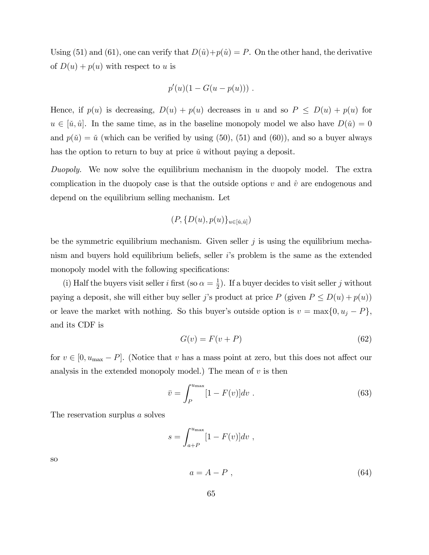Using (51) and (61), one can verify that  $D(\hat{u})+p(\hat{u}) = P$ . On the other hand, the derivative of  $D(u) + p(u)$  with respect to u is

$$
p'(u)(1-G(u-p(u))) .
$$

Hence, if  $p(u)$  is decreasing,  $D(u) + p(u)$  decreases in u and so  $P \le D(u) + p(u)$  for  $u \in [\check{u}, \hat{u}]$ . In the same time, as in the baseline monopoly model we also have  $D(\check{u}) = 0$ and  $p(\check{u}) = \check{u}$  (which can be verified by using (50), (51) and (60)), and so a buyer always has the option to return to buy at price  $\check{u}$  without paying a deposit.

Duopoly. We now solve the equilibrium mechanism in the duopoly model. The extra complication in the duopoly case is that the outside options  $v$  and  $\hat{v}$  are endogenous and depend on the equilibrium selling mechanism. Let

$$
(P,\{D(u),p(u)\}_{u\in [\tilde{u},\hat{u}]})
$$

be the symmetric equilibrium mechanism. Given seller  $j$  is using the equilibrium mechanism and buyers hold equilibrium beliefs, seller iís problem is the same as the extended monopoly model with the following specifications:

(i) Half the buyers visit seller *i* first (so  $\alpha = \frac{1}{2}$  $\frac{1}{2}$ ). If a buyer decides to visit seller j without paying a deposit, she will either buy seller j's product at price P (given  $P \le D(u) + p(u)$ ) or leave the market with nothing. So this buyer's outside option is  $v = \max\{0, u_j - P\},\$ and its CDF is

$$
G(v) = F(v + P) \tag{62}
$$

for  $v \in [0, u_{\text{max}} - P]$ . (Notice that v has a mass point at zero, but this does not affect our analysis in the extended monopoly model.) The mean of  $v$  is then

$$
\bar{v} = \int_{P}^{u_{\text{max}}} [1 - F(v)] dv . \qquad (63)
$$

The reservation surplus a solves

$$
s = \int_{a+P}^{u_{\text{max}}} [1 - F(v)] dv ,
$$

so

$$
a = A - P \t{,} \t(64)
$$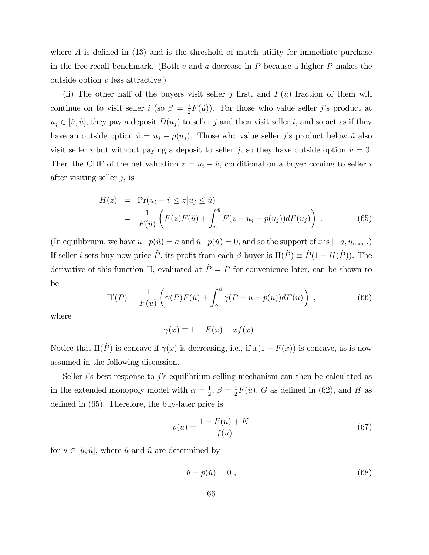where  $\tilde{A}$  is defined in (13) and is the threshold of match utility for immediate purchase in the free-recall benchmark. (Both  $\bar{v}$  and a decrease in P because a higher P makes the outside option  $v$  less attractive.)

(ii) The other half of the buyers visit seller j first, and  $F(\hat{u})$  fraction of them will continue on to visit seller *i* (so  $\beta = \frac{1}{2}$ )  $\frac{1}{2}F(\hat{u})$ . For those who value seller j's product at  $u_j \in [\check{u}, \hat{u}]$ , they pay a deposit  $D(u_j)$  to seller j and then visit seller i, and so act as if they have an outside option  $\hat{v} = u_j - p(u_j)$ . Those who value seller j's product below u also visit seller i but without paying a deposit to seller j, so they have outside option  $\hat{v} = 0$ . Then the CDF of the net valuation  $z = u_i - \hat{v}$ , conditional on a buyer coming to seller i after visiting seller  $j$ , is

$$
H(z) = \Pr(u_i - \hat{v} \le z | u_j \le \hat{u})
$$
  
= 
$$
\frac{1}{F(\hat{u})} \left( F(z)F(\check{u}) + \int_{\check{u}}^{\hat{u}} F(z + u_j - p(u_j))dF(u_j) \right)
$$
. (65)

(In equilibrium, we have  $\hat{u} - p(\hat{u}) = a$  and  $\check{u} - p(\check{u}) = 0$ , and so the support of z is  $[-a, u_{\text{max}}]$ .) If seller *i* sets buy-now price  $\tilde{P}$ , its profit from each  $\beta$  buyer is  $\Pi(\tilde{P}) \equiv \tilde{P}(1 - H(\tilde{P}))$ . The derivative of this function  $\Pi$ , evaluated at  $\tilde{P} = P$  for convenience later, can be shown to be

$$
\Pi'(P) = \frac{1}{F(\hat{u})} \left( \gamma(P) F(\check{u}) + \int_{\check{u}}^{\hat{u}} \gamma(P + u - p(u)) dF(u) \right) , \qquad (66)
$$

where

$$
\gamma(x) \equiv 1 - F(x) - xf(x) .
$$

Notice that  $\Pi(\tilde{P})$  is concave if  $\gamma(x)$  is decreasing, i.e., if  $x(1 - F(x))$  is concave, as is now assumed in the following discussion.

Seller *i*'s best response to *j*'s equilibrium selling mechanism can then be calculated as in the extended monopoly model with  $\alpha = \frac{1}{2}$  $\frac{1}{2}, \beta = \frac{1}{2}$  $\frac{1}{2}F(\hat{u})$ , G as defined in (62), and H as defined in  $(65)$ . Therefore, the buy-later price is

$$
p(u) = \frac{1 - F(u) + K}{f(u)}
$$
\n(67)

for  $u \in [\tilde{u}, \hat{u}]$ , where  $\tilde{u}$  and  $\hat{u}$  are determined by

$$
\check{u} - p(\check{u}) = 0 \tag{68}
$$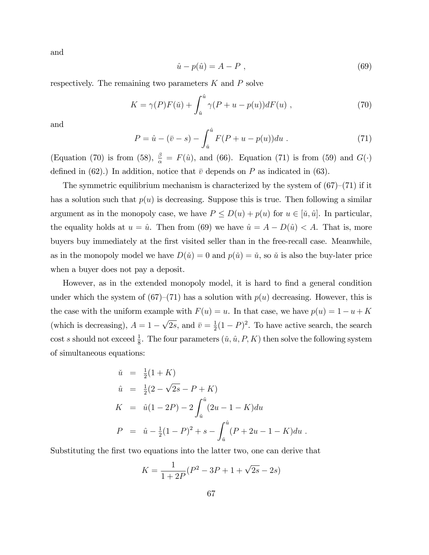and

$$
\hat{u} - p(\hat{u}) = A - P \tag{69}
$$

respectively. The remaining two parameters  $K$  and  $P$  solve

$$
K = \gamma(P)F(\check{u}) + \int_{\check{u}}^{\hat{u}} \gamma(P + u - p(u))dF(u) , \qquad (70)
$$

and

$$
P = \hat{u} - (\bar{v} - s) - \int_{\tilde{u}}^{\hat{u}} F(P + u - p(u)) du . \tag{71}
$$

(Equation (70) is from (58),  $\frac{\beta}{\alpha} = F(\hat{u})$ , and (66). Equation (71) is from (59) and  $G(\cdot)$ defined in (62).) In addition, notice that  $\bar{v}$  depends on P as indicated in (63).

The symmetric equilibrium mechanism is characterized by the system of  $(67)–(71)$  if it has a solution such that  $p(u)$  is decreasing. Suppose this is true. Then following a similar argument as in the monopoly case, we have  $P \le D(u) + p(u)$  for  $u \in [\tilde{u}, \hat{u}]$ . In particular, the equality holds at  $u = \hat{u}$ . Then from (69) we have  $\hat{u} = A - D(\hat{u}) < A$ . That is, more buyers buy immediately at the Örst visited seller than in the free-recall case. Meanwhile, as in the monopoly model we have  $D(\check{u}) = 0$  and  $p(\check{u}) = \check{u}$ , so  $\check{u}$  is also the buy-later price when a buyer does not pay a deposit.

However, as in the extended monopoly model, it is hard to find a general condition under which the system of  $(67)–(71)$  has a solution with  $p(u)$  decreasing. However, this is the case with the uniform example with  $F(u) = u$ . In that case, we have  $p(u) = 1 - u + K$ (which is decreasing),  $A = 1 - \sqrt{2s}$ , and  $\bar{v} = \frac{1}{2}$  $\frac{1}{2}(1-P)^2$ . To have active search, the search cost s should not exceed  $\frac{1}{8}$ . The four parameters  $(\tilde{u}, \hat{u}, P, K)$  then solve the following system of simultaneous equations:

$$
\tilde{u} = \frac{1}{2}(1+K)
$$
\n
$$
\hat{u} = \frac{1}{2}(2-\sqrt{2s}-P+K)
$$
\n
$$
K = \hat{u}(1-2P) - 2\int_{\tilde{u}}^{\hat{u}} (2u-1-K)du
$$
\n
$$
P = \hat{u} - \frac{1}{2}(1-P)^2 + s - \int_{\tilde{u}}^{\hat{u}} (P+2u-1-K)du.
$$

Substituting the first two equations into the latter two, one can derive that

$$
K = \frac{1}{1 + 2P}(P^2 - 3P + 1 + \sqrt{2s} - 2s)
$$